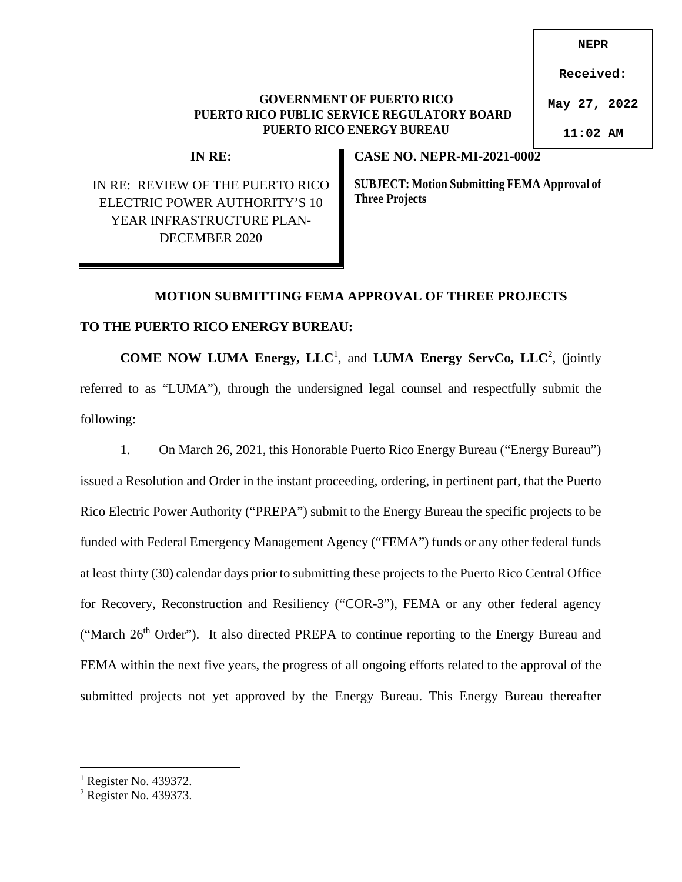## **GOVERNMENT OF PUERTO RICO PUERTO RICO PUBLIC SERVICE REGULATORY BOARD PUERTO RICO ENERGY BUREAU**

**Received:**

**NEPR**

**May 27, 2022**

**11:02 AM**

**IN RE:** 

IN RE: REVIEW OF THE PUERTO RICO ELECTRIC POWER AUTHORITY'S 10 YEAR INFRASTRUCTURE PLAN-DECEMBER 2020

**CASE NO. NEPR-MI-2021-0002** 

**SUBJECT: Motion Submitting FEMA Approval of Three Projects** 

## **MOTION SUBMITTING FEMA APPROVAL OF THREE PROJECTS**

## **TO THE PUERTO RICO ENERGY BUREAU:**

**COME NOW LUMA Energy, LLC<sup>1</sup>, and LUMA Energy ServCo, LLC<sup>2</sup>, (jointly)** referred to as "LUMA"), through the undersigned legal counsel and respectfully submit the following:

1. On March 26, 2021, this Honorable Puerto Rico Energy Bureau ("Energy Bureau") issued a Resolution and Order in the instant proceeding, ordering, in pertinent part, that the Puerto Rico Electric Power Authority ("PREPA") submit to the Energy Bureau the specific projects to be funded with Federal Emergency Management Agency ("FEMA") funds or any other federal funds at least thirty (30) calendar days prior to submitting these projects to the Puerto Rico Central Office for Recovery, Reconstruction and Resiliency ("COR-3"), FEMA or any other federal agency ("March 26<sup>th</sup> Order"). It also directed PREPA to continue reporting to the Energy Bureau and FEMA within the next five years, the progress of all ongoing efforts related to the approval of the submitted projects not yet approved by the Energy Bureau. This Energy Bureau thereafter

<sup>&</sup>lt;sup>1</sup> Register No. 439372.

<sup>&</sup>lt;sup>2</sup> Register No. 439373.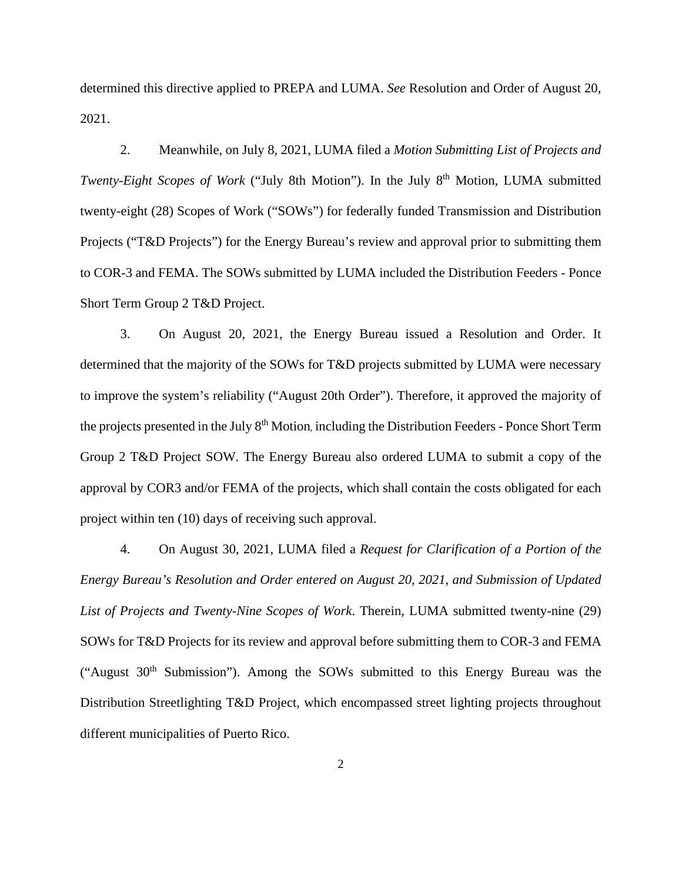determined this directive applied to PREPA and LUMA. *See* Resolution and Order of August 20, 2021.

2. Meanwhile, on July 8, 2021, LUMA filed a *Motion Submitting List of Projects and Twenty-Eight Scopes of Work* ("July 8th Motion"). In the July 8<sup>th</sup> Motion, LUMA submitted twenty-eight (28) Scopes of Work ("SOWs") for federally funded Transmission and Distribution Projects ("T&D Projects") for the Energy Bureau's review and approval prior to submitting them to COR-3 and FEMA. The SOWs submitted by LUMA included the Distribution Feeders - Ponce Short Term Group 2 T&D Project.

3. On August 20, 2021, the Energy Bureau issued a Resolution and Order. It determined that the majority of the SOWs for T&D projects submitted by LUMA were necessary to improve the system's reliability ("August 20th Order"). Therefore, it approved the majority of the projects presented in the July 8<sup>th</sup> Motion, including the Distribution Feeders - Ponce Short Term Group 2 T&D Project SOW. The Energy Bureau also ordered LUMA to submit a copy of the approval by COR3 and/or FEMA of the projects, which shall contain the costs obligated for each project within ten (10) days of receiving such approval.

4. On August 30, 2021, LUMA filed a *Request for Clarification of a Portion of the Energy Bureau's Resolution and Order entered on August 20, 2021, and Submission of Updated List of Projects and Twenty-Nine Scopes of Work*. Therein, LUMA submitted twenty-nine (29) SOWs for T&D Projects for its review and approval before submitting them to COR-3 and FEMA ("August  $30<sup>th</sup>$  Submission"). Among the SOWs submitted to this Energy Bureau was the Distribution Streetlighting T&D Project, which encompassed street lighting projects throughout different municipalities of Puerto Rico.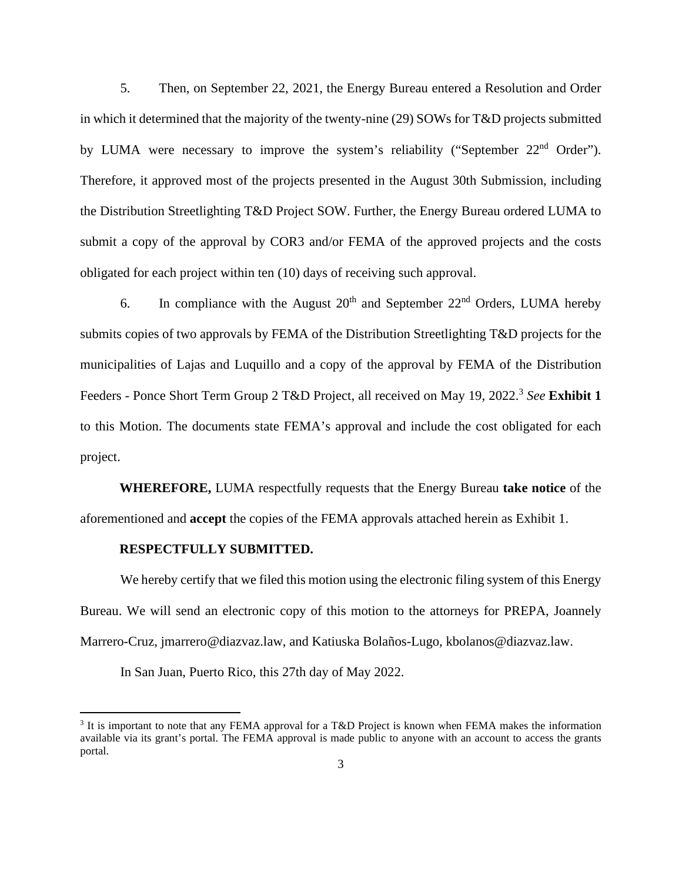5. Then, on September 22, 2021, the Energy Bureau entered a Resolution and Order in which it determined that the majority of the twenty-nine (29) SOWs for T&D projects submitted by LUMA were necessary to improve the system's reliability ("September 22<sup>nd</sup> Order"). Therefore, it approved most of the projects presented in the August 30th Submission, including the Distribution Streetlighting T&D Project SOW. Further, the Energy Bureau ordered LUMA to submit a copy of the approval by COR3 and/or FEMA of the approved projects and the costs obligated for each project within ten (10) days of receiving such approval.

6. In compliance with the August  $20<sup>th</sup>$  and September  $22<sup>nd</sup>$  Orders, LUMA hereby submits copies of two approvals by FEMA of the Distribution Streetlighting T&D projects for the municipalities of Lajas and Luquillo and a copy of the approval by FEMA of the Distribution Feeders - Ponce Short Term Group 2 T&D Project, all received on May 19, 2022.<sup>3</sup> See Exhibit 1 to this Motion. The documents state FEMA's approval and include the cost obligated for each project.

**WHEREFORE,** LUMA respectfully requests that the Energy Bureau **take notice** of the aforementioned and **accept** the copies of the FEMA approvals attached herein as Exhibit 1.

## **RESPECTFULLY SUBMITTED.**

We hereby certify that we filed this motion using the electronic filing system of this Energy Bureau. We will send an electronic copy of this motion to the attorneys for PREPA, Joannely Marrero-Cruz, jmarrero@diazvaz.law, and Katiuska Bolaños-Lugo, kbolanos@diazvaz.law.

In San Juan, Puerto Rico, this 27th day of May 2022.

<sup>&</sup>lt;sup>3</sup> It is important to note that any FEMA approval for a T&D Project is known when FEMA makes the information available via its grant's portal. The FEMA approval is made public to anyone with an account to access the grants portal.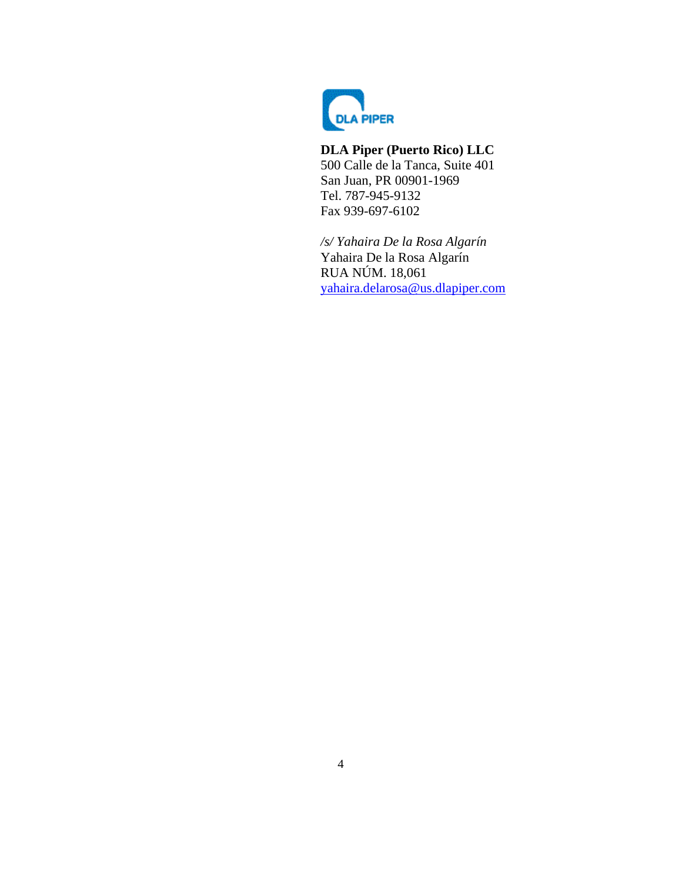

# **DLA Piper (Puerto Rico) LLC**

500 Calle de la Tanca, Suite 401 San Juan, PR 00901-1969 Tel. 787-945-9132 Fax 939-697-6102

*/s/ Yahaira De la Rosa Algarín*  Yahaira De la Rosa Algarín RUA NÚM. 18,061 [yahaira.delarosa@us.dlapiper.com](mailto:yahaira.delarosa@us.dlapiper.com)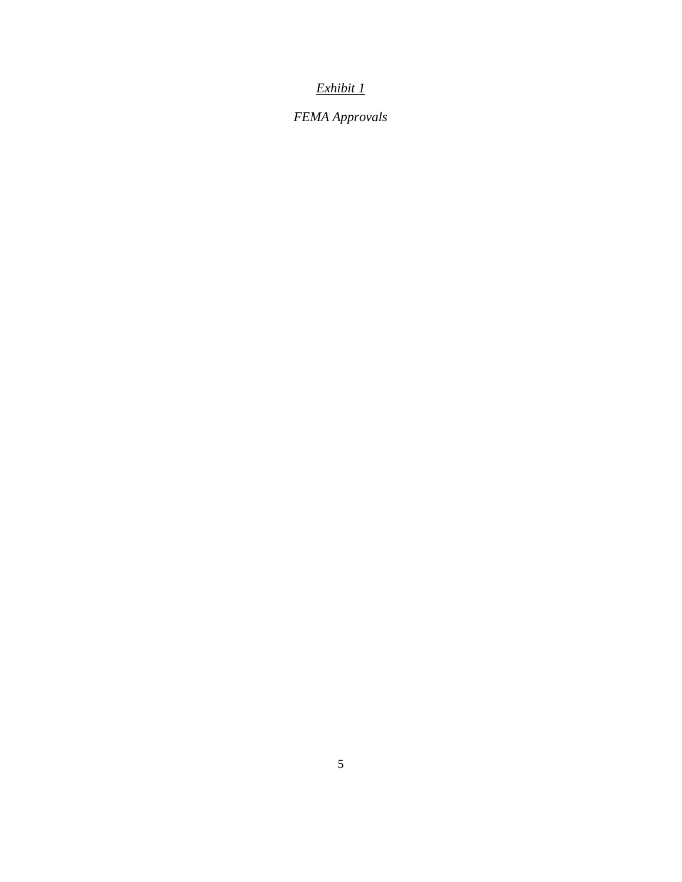# *Exhibit 1*

*FEMA Approvals*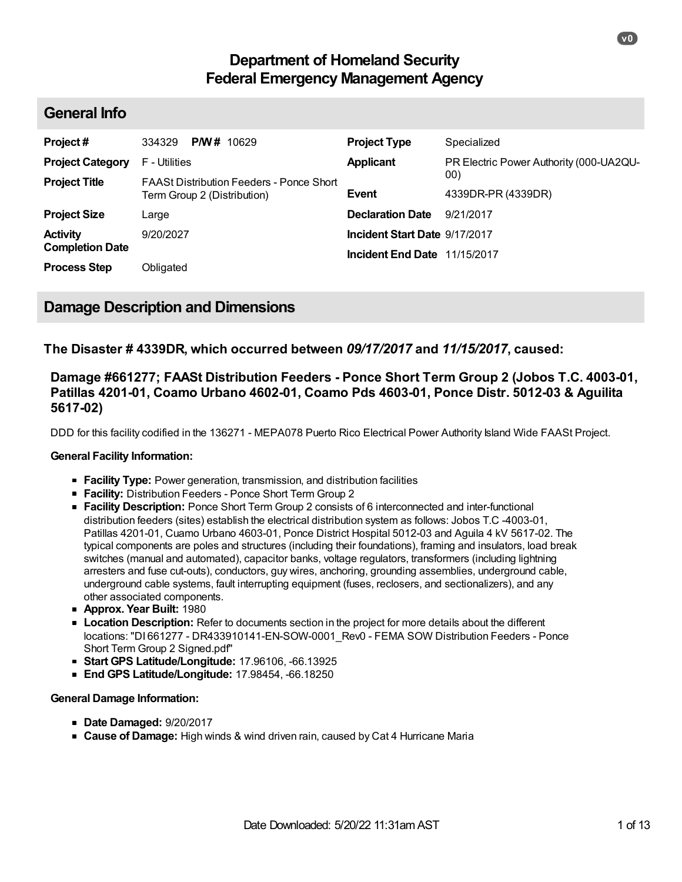# **Department of Homeland Security Federal Emergency Management Agency**

# **General Info**

| Project#                | <b>PM#</b> 10629<br>334329                                                     | <b>Project Type</b>           | Specialized                             |
|-------------------------|--------------------------------------------------------------------------------|-------------------------------|-----------------------------------------|
| <b>Project Category</b> | F - Utilities                                                                  | <b>Applicant</b>              | PR Electric Power Authority (000-UA2QU- |
| <b>Project Title</b>    | <b>FAASt Distribution Feeders - Ponce Short</b><br>Term Group 2 (Distribution) | <b>Event</b>                  | 00)<br>4339DR-PR (4339DR)               |
| <b>Project Size</b>     | Large                                                                          | <b>Declaration Date</b>       | 9/21/2017                               |
| <b>Activity</b>         | 9/20/2027                                                                      | Incident Start Date 9/17/2017 |                                         |
| <b>Completion Date</b>  |                                                                                | Incident End Date 11/15/2017  |                                         |
| <b>Process Step</b>     | Obligated                                                                      |                               |                                         |

# **Damage Description and Dimensions**

## **The Disaster # 4339DR, which occurred between** *09/17/2017* **and** *11/15/2017***, caused:**

## **Damage #661277; FAASt Distribution Feeders - Ponce Short Term Group 2 (Jobos T.C. 4003-01, Patillas 4201-01, Coamo Urbano 4602-01, Coamo Pds 4603-01, Ponce Distr. 5012-03 & Aguilita 5617-02)**

DDD for this facility codified in the 136271 - MEPA078 Puerto Rico Electrical Power Authority Island Wide FAASt Project.

## **General Facility Information:**

- **Facility Type:** Power generation, transmission, and distribution facilities
- **Facility:** Distribution Feeders Ponce Short Term Group 2
- **Facility Description:** Ponce Short Term Group 2 consists of 6 interconnected and inter-functional distribution feeders (sites) establish the electrical distribution system as follows: Jobos T.C -4003-01, Patillas 4201-01, Cuamo Urbano 4603-01, Ponce District Hospital 5012-03 and Aguila 4 kV 5617-02. The typical components are poles and structures (including their foundations), framing and insulators, load break switches (manual and automated), capacitor banks, voltage regulators, transformers (including lightning arresters and fuse cut-outs), conductors, guy wires, anchoring, grounding assemblies, underground cable, underground cable systems, fault interrupting equipment (fuses, reclosers, and sectionalizers), and any other associated components.
- **Approx. Year Built:** 1980
- **Location Description:** Refer to documents section in the project for more details about the different locations: "DI 661277 - DR433910141-EN-SOW-0001\_Rev0 - FEMA SOW Distribution Feeders - Ponce Short Term Group 2 Signed.pdf"
- **Start GPS Latitude/Longitude:** 17.96106, -66.13925
- **End GPS Latitude/Longitude:** 17.98454, -66.18250

## **General Damage Information:**

- **Date Damaged:** 9/20/2017
- **Cause of Damage:** High winds & wind driven rain, caused by Cat 4 Hurricane Maria

**v0**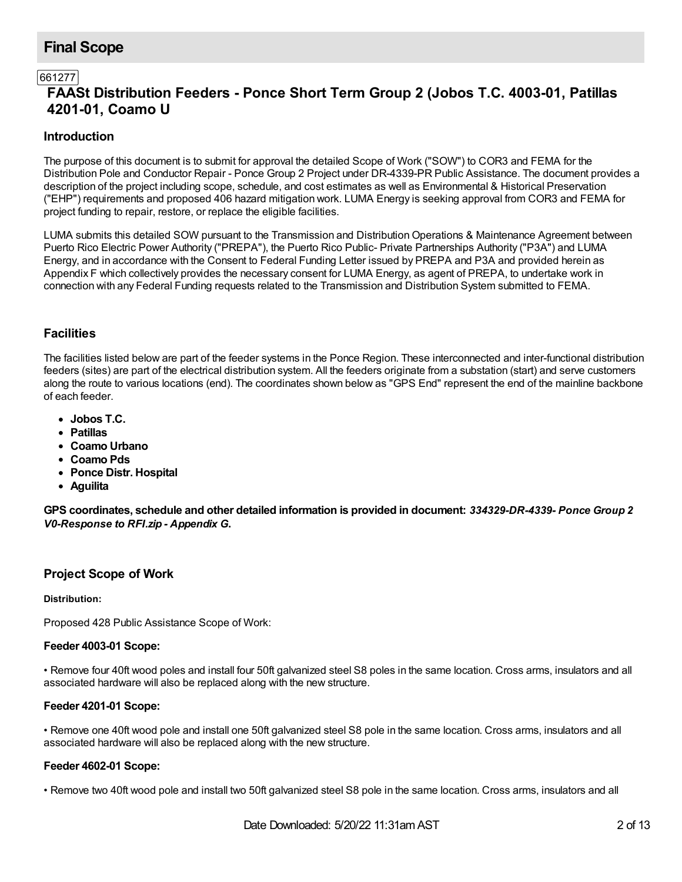# **Final Scope**

## 661277

# **FAASt Distribution Feeders - Ponce Short Term Group 2 (Jobos T.C. 4003-01, Patillas 4201-01, Coamo U**

## **Introduction**

The purpose of this document is to submit for approval the detailed Scope of Work ("SOW") to COR3 and FEMA for the Distribution Pole and Conductor Repair - Ponce Group 2 Project under DR-4339-PR Public Assistance. The document provides a description of the project including scope, schedule, and cost estimates as well as Environmental & Historical Preservation ("EHP") requirements and proposed 406 hazard mitigation work. LUMA Energy is seeking approval from COR3 and FEMA for project funding to repair, restore, or replace the eligible facilities.

LUMA submits this detailed SOW pursuant to the Transmission and Distribution Operations & Maintenance Agreement between Puerto Rico Electric Power Authority ("PREPA"), the Puerto Rico Public- Private Partnerships Authority ("P3A") and LUMA Energy, and in accordance with the Consent to Federal Funding Letter issued by PREPA and P3A and provided herein as Appendix F which collectively provides the necessary consent for LUMA Energy, as agent of PREPA, to undertake work in connection with any Federal Funding requests related to the Transmission and Distribution System submitted to FEMA.

## **Facilities**

The facilities listed below are part of the feeder systems in the Ponce Region. These interconnected and inter-functional distribution feeders (sites) are part of the electrical distribution system. All the feeders originate from a substation (start) and serve customers along the route to various locations (end). The coordinates shown below as "GPS End" represent the end of the mainline backbone of each feeder.

- **Jobos T.C.**
- **Patillas**
- **Coamo Urbano**
- **Coamo Pds**
- **Ponce Distr. Hospital**
- **Aguilita**

**GPS coordinates, schedule and other detailed information is provided in document:** *334329-DR-4339- Ponce Group 2 V0-Response to RFI.zip - Appendix G***.**

## **Project Scope of Work**

## **Distribution:**

Proposed 428 Public Assistance Scope of Work:

## **Feeder 4003-01 Scope:**

• Remove four 40ft wood poles and install four 50ft galvanized steel S8 poles in the same location. Cross arms, insulators and all associated hardware will also be replaced along with the new structure.

## **Feeder 4201-01 Scope:**

• Remove one 40ft wood pole and install one 50ft galvanized steel S8 pole in the same location. Cross arms, insulators and all associated hardware will also be replaced along with the new structure.

## **Feeder 4602-01 Scope:**

• Remove two 40ft wood pole and install two 50ft galvanized steel S8 pole in the same location. Cross arms, insulators and all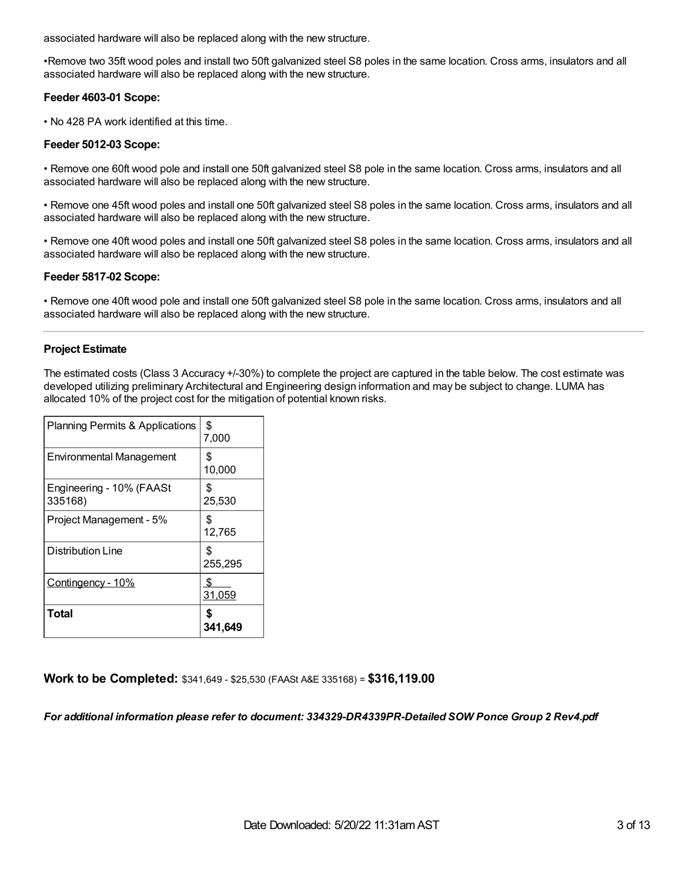associated hardware will also be replaced along with the new structure.

•Remove two 35ft wood poles and install two 50ft galvanized steel S8 poles in the same location. Cross arms, insulators and all associated hardware will also be replaced along with the new structure.

## **Feeder 4603-01 Scope:**

• No 428 PA work identified at this time.

## **Feeder 5012-03 Scope:**

• Remove one 60ft wood pole and install one 50ft galvanized steel S8 pole in the same location. Cross arms, insulators and all associated hardware will also be replaced along with the new structure.

• Remove one 45ft wood poles and install one 50ft galvanized steel S8 poles in the same location. Cross arms, insulators and all associated hardware will also be replaced along with the new structure.

• Remove one 40ft wood poles and install one 50ft galvanized steel S8 poles in the same location. Cross arms, insulators and all associated hardware will also be replaced along with the new structure.

## **Feeder 5817-02 Scope:**

• Remove one 40ft wood pole and install one 50ft galvanized steel S8 pole in the same location. Cross arms, insulators and all associated hardware will also be replaced along with the new structure.

## **Project Estimate**

The estimated costs (Class 3 Accuracy +/-30%) to complete the project are captured in the table below. The cost estimate was developed utilizing preliminary Architectural and Engineering design information and may be subject to change. LUMA has allocated 10% of the project cost for the mitigation of potential known risks.

| <b>Planning Permits &amp; Applications</b> | \$<br>7,000   |
|--------------------------------------------|---------------|
| <b>Environmental Management</b>            | \$<br>10,000  |
| Engineering - 10% (FAASt<br>335168)        | S<br>25,530   |
| Project Management - 5%                    | S<br>12,765   |
| Distribution Line                          | \$<br>255,295 |
| <u>Contingency - 10%</u>                   | S<br>31,059   |
| Total                                      | 341,649       |

## **Work to be Completed:** \$341,649 - \$25,530 (FAASt A&E 335168) = **\$316,119.00**

## *For additional information please refer to document: 334329-DR4339PR-Detailed SOW Ponce Group 2 Rev4.pdf*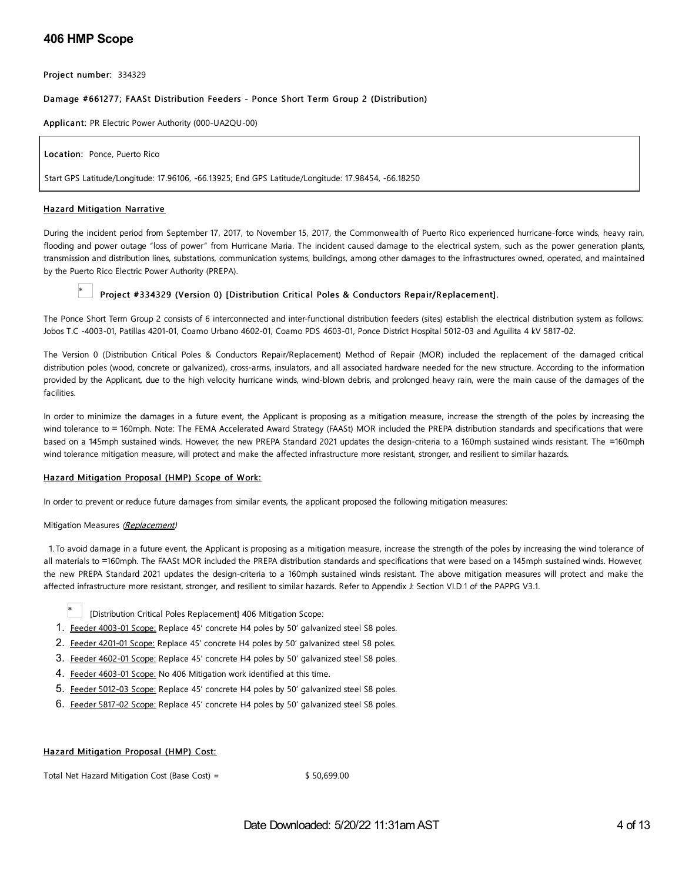## **406 HMP Scope**

Project number: 334329

#### Damage #661277; FAASt Distribution Feeders - Ponce Short Term Group 2 (Distribution)

Applica nt: PR Electric Power Authority (000-UA2QU-00)

Location: Ponce, Puerto Rico

Start GPS Latitude/Longitude: 17.96106, -66.13925; End GPS Latitude/Longitude: 17.98454, -66.18250

#### Hazard Mitigation Narrative

During the incident period from September 17, 2017, to November 15, 2017, the Commonwealth of Puerto Rico experienced hurricane-force winds, heavy rain, flooding and power outage "loss of power" from Hurricane Maria. The incident caused damage to the electrical system, such as the power generation plants, transmission and distribution lines, substations, communication systems, buildings, among other damages to the infrastructures owned, operated, and maintained by the Puerto Rico Electric Power Authority (PREPA).

### Project #334329 (Version 0) [Distribution Critical Poles & Conductors Repair/Replacement].

The Ponce Short Term Group 2 consists of 6 interconnected and inter-functional distribution feeders (sites) establish the electrical distribution system as follows: Jobos T.C -4003-01, Patillas 4201-01, Coamo Urbano 4602-01, Coamo PDS 4603-01, Ponce District Hospital 5012-03 and Aguilita 4 kV 5817-02.

The Version 0 (Distribution Critical Poles & Conductors Repair/Replacement) Method of Repair (MOR) included the replacement of the damaged critical distribution poles (wood, concrete or galvanized), cross-arms, insulators, and all associated hardware needed for the new structure. According to the information provided by the Applicant, due to the high velocity hurricane winds, wind-blown debris, and prolonged heavy rain, were the main cause of the damages of the facilities.

In order to minimize the damages in a future event, the Applicant is proposing as a mitigation measure, increase the strength of the poles by increasing the wind tolerance to = 160mph. Note: The FEMA Accelerated Award Strategy (FAASt) MOR included the PREPA distribution standards and specifications that were based on a 145mph sustained winds. However, the new PREPA Standard 2021 updates the design-criteria to a 160mph sustained winds resistant. The =160mph wind tolerance mitigation measure, will protect and make the affected infrastructure more resistant, stronger, and resilient to similar hazards.

#### Hazard Mitigation Proposal (HMP) Scope of Work:

In order to prevent or reduce future damages from similar events, the applicant proposed the following mitigation measures:

#### Mitigation Measures (Replacement)

1.To avoid damage in a future event, the Applicant is proposing as a mitigation measure, increase the strength of the poles by increasing the wind tolerance of all materials to =160mph. The FAASt MOR included the PREPA distribution standards and specifications that were based on a 145mph sustained winds. However, the new PREPA Standard 2021 updates the design-criteria to a 160mph sustained winds resistant. The above mitigation measures will protect and make the affected infrastructure more resistant, stronger, and resilient to similar hazards. Refer to Appendix J: Section VI.D.1 of the PAPPG V3.1.

- \* [Distribution Critical Poles Replacement] 406 Mitigation Scope:
- 1. Feeder 4003-01 Scope: Replace 45' concrete H4 poles by 50' galvanized steel S8 poles.
- 2. Feeder 4201-01 Scope: Replace 45' concrete H4 poles by 50' galvanized steel S8 poles.
- 3. Feeder 4602-01 Scope: Replace 45' concrete H4 poles by 50' galvanized steel S8 poles.
- 4. Feeder 4603-01 Scope: No 406 Mitigation work identified at this time.
- 5. Feeder 5012-03 Scope: Replace 45' concrete H4 poles by 50' galvanized steel S8 poles.
- 6. Feeder 5817-02 Scope: Replace 45' concrete H4 poles by 50' galvanized steel S8 poles.

#### Hazard Mitigation Proposal (HMP) Cost:

Total Net Hazard Mitigation Cost (Base Cost) =  $$50,699.00$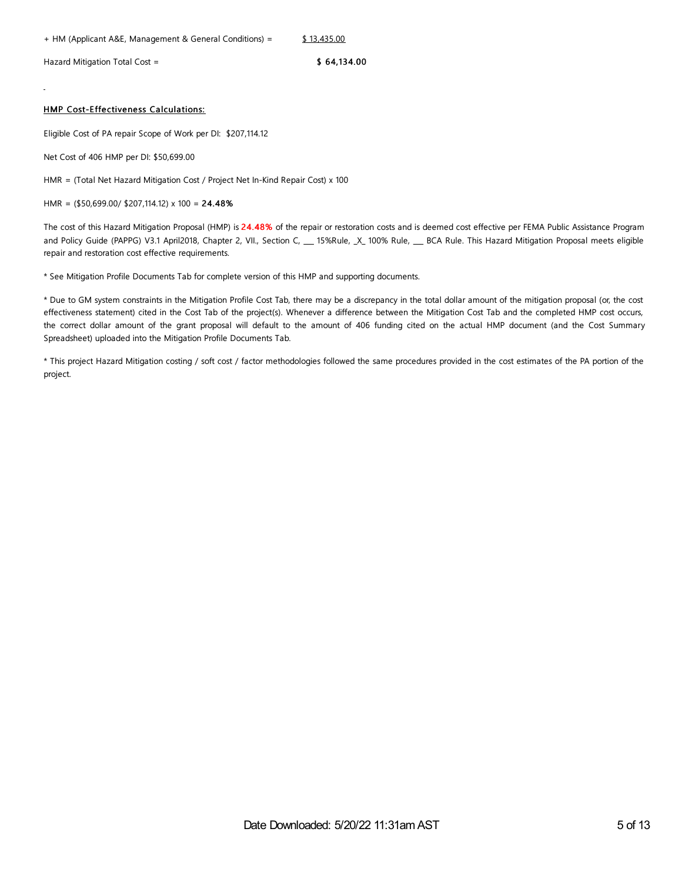Hazard Mitigation Total Cost =  $$64,134.00$ 

#### HMP Cost-Effectiveness Calculations:

Eligible Cost of PA repair Scope of Work per DI: \$207,114.12

Net Cost of 406 HMP per DI: \$50,699.00

HMR = (Total Net Hazard Mitigation Cost / Project Net In-Kind Repair Cost) x 100

HMR = (\$50,699.00/ \$207,114.12) x 100 = 24.48%

The cost of this Hazard Mitigation Proposal (HMP) is 24.48% of the repair or restoration costs and is deemed cost effective per FEMA Public Assistance Program and Policy Guide (PAPPG) V3.1 April2018, Chapter 2, VII., Section C, \_\_\_ 15%Rule, \_X\_ 100% Rule, \_\_\_ BCA Rule. This Hazard Mitigation Proposal meets eligible repair and restoration cost effective requirements.

\* See Mitigation Profile Documents Tab for complete version of this HMP and supporting documents.

\* Due to GM system constraints in the Mitigation Profile Cost Tab, there may be a discrepancy in the total dollar amount of the mitigation proposal (or, the cost effectiveness statement) cited in the Cost Tab of the project(s). Whenever a difference between the Mitigation Cost Tab and the completed HMP cost occurs, the correct dollar amount of the grant proposal will default to the amount of 406 funding cited on the actual HMP document (and the Cost Summary Spreadsheet) uploaded into the Mitigation Profile Documents Tab.

\* This project Hazard Mitigation costing / soft cost / factor methodologies followed the same procedures provided in the cost estimates of the PA portion of the project.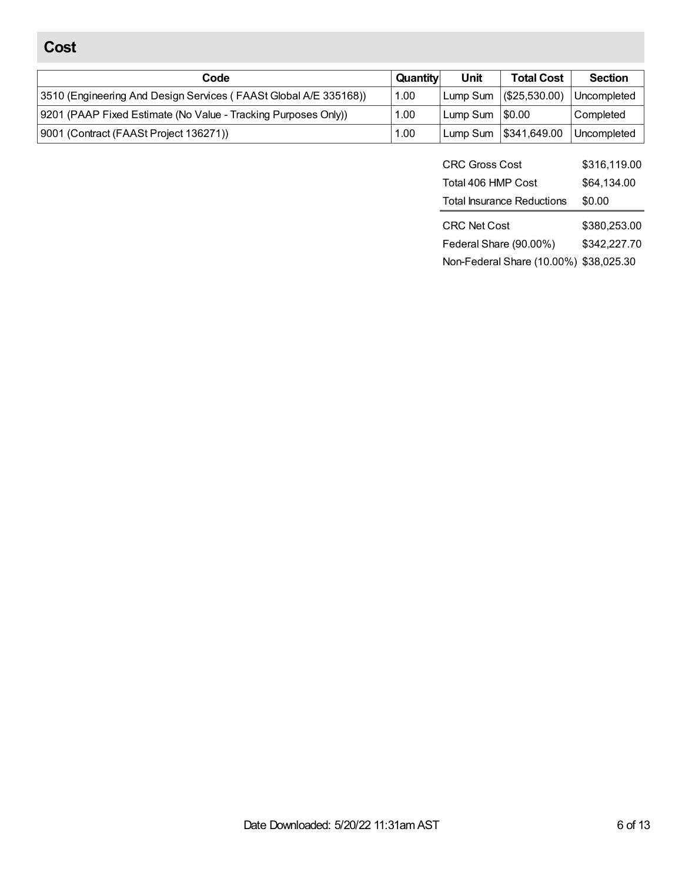# **Cost**

| Code                                                              | Quantity | Unit             | <b>Total Cost</b>        | <b>Section</b> |
|-------------------------------------------------------------------|----------|------------------|--------------------------|----------------|
| [3510 (Engineering And Design Services (FAASt Global A/E 335168)) | 1.00     |                  | Lump Sum   (\$25,530.00) | Uncompleted    |
| 9201 (PAAP Fixed Estimate (No Value - Tracking Purposes Only))    | 1.00     | Lump Sum 1\$0.00 |                          | Completed      |
| 9001 (Contract (FAASt Project 136271))                            | 1.00     |                  | Lump Sum 1\$341,649.00   | Uncompleted    |

| <b>CRC Gross Cost</b>             | \$316,119.00 |
|-----------------------------------|--------------|
| Total 406 HMP Cost                | \$64,134.00  |
| <b>Total Insurance Reductions</b> | \$0.00       |
|                                   |              |
| <b>CRC Net Cost</b>               | \$380,253.00 |
| Federal Share (90.00%)            | \$342,227.70 |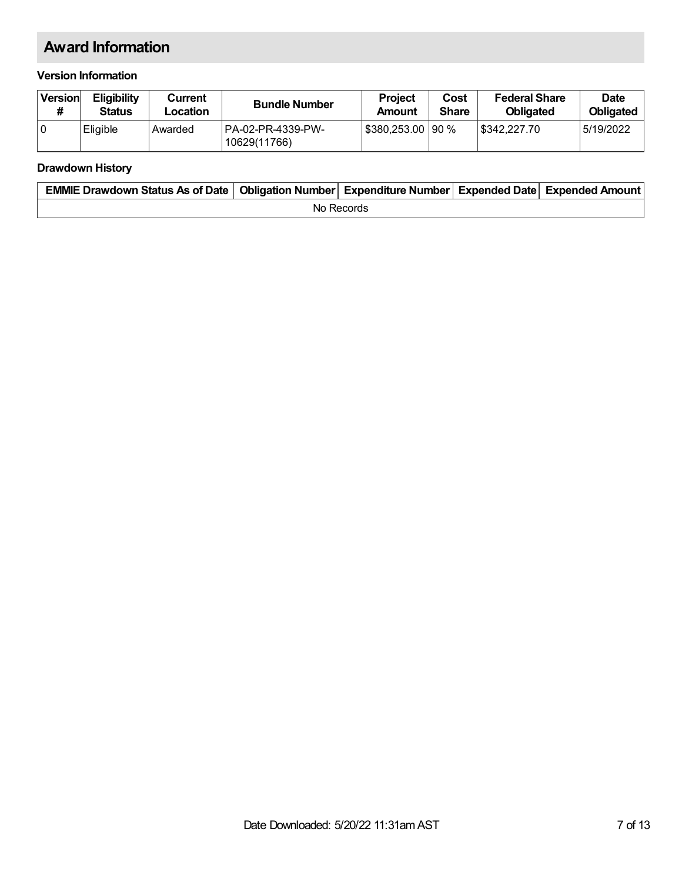# **Award Information**

## **Version Information**

| Version | <b>Eligibility</b><br><b>Status</b> | Current<br>Location | <b>Bundle Number</b>               | <b>Project</b><br>Amount | Cost<br><b>Share</b> | <b>Federal Share</b><br><b>Obligated</b> | <b>Date</b><br><b>Obligated</b> |
|---------|-------------------------------------|---------------------|------------------------------------|--------------------------|----------------------|------------------------------------------|---------------------------------|
| 10      | Eligible                            | Awarded             | 1PA-02-PR-4339-PW-<br>10629(11766) | §380,253.00   90 %       |                      | 5342.227.70                              | 5/19/2022                       |

## **Drawdown History**

| EMMIE Drawdown Status As of Date   Obligation Number   Expenditure Number   Expended Date   Expended Amount |            |  |  |  |  |  |
|-------------------------------------------------------------------------------------------------------------|------------|--|--|--|--|--|
|                                                                                                             | No Records |  |  |  |  |  |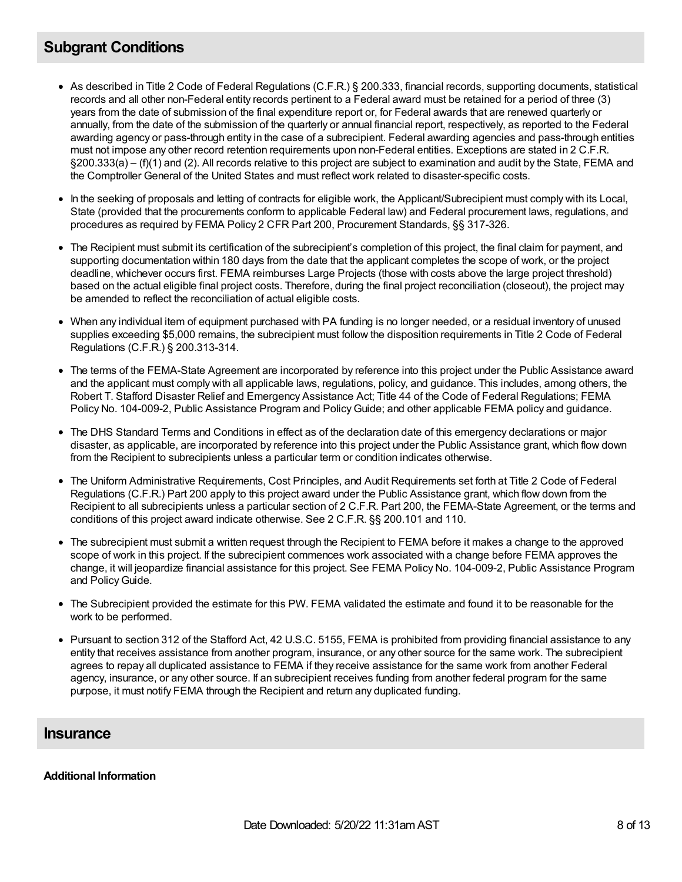# **Subgrant Conditions**

- As described in Title 2 Code of Federal Regulations (C.F.R.) § 200.333, financial records, supporting documents, statistical records and all other non-Federal entity records pertinent to a Federal award must be retained for a period of three (3) years from the date of submission of the final expenditure report or, for Federal awards that are renewed quarterly or annually, from the date of the submission of the quarterly or annual financial report, respectively, as reported to the Federal awarding agency or pass-through entity in the case of a subrecipient. Federal awarding agencies and pass-through entities must not impose any other record retention requirements upon non-Federal entities. Exceptions are stated in 2 C.F.R. §200.333(a) – (f)(1) and (2). All records relative to this project are subject to examination and audit by the State, FEMA and the Comptroller General of the United States and must reflect work related to disaster-specific costs.
- In the seeking of proposals and letting of contracts for eligible work, the Applicant/Subrecipient must comply with its Local, State (provided that the procurements conform to applicable Federal law) and Federal procurement laws, regulations, and procedures as required by FEMA Policy 2 CFR Part 200, Procurement Standards, §§ 317-326.
- The Recipient must submit its certification of the subrecipient's completion of this project, the final claim for payment, and supporting documentation within 180 days from the date that the applicant completes the scope of work, or the project deadline, whichever occurs first. FEMA reimburses Large Projects (those with costs above the large project threshold) based on the actual eligible final project costs. Therefore, during the final project reconciliation (closeout), the project may be amended to reflect the reconciliation of actual eligible costs.
- When any individual item of equipment purchased with PA funding is no longer needed, or a residual inventory of unused supplies exceeding \$5,000 remains, the subrecipient must follow the disposition requirements in Title 2 Code of Federal Regulations (C.F.R.) § 200.313-314.
- The terms of the FEMA-State Agreement are incorporated by reference into this project under the Public Assistance award and the applicant must comply with all applicable laws, regulations, policy, and guidance. This includes, among others, the Robert T. Stafford Disaster Relief and Emergency Assistance Act; Title 44 of the Code of Federal Regulations; FEMA Policy No. 104-009-2, Public Assistance Program and PolicyGuide; and other applicable FEMA policy and guidance.
- The DHS Standard Terms and Conditions in effect as of the declaration date of this emergency declarations or major disaster, as applicable, are incorporated by reference into this project under the Public Assistance grant, which flow down from the Recipient to subrecipients unless a particular term or condition indicates otherwise.
- The Uniform Administrative Requirements, Cost Principles, and Audit Requirements set forth at Title 2 Code of Federal Regulations (C.F.R.) Part 200 apply to this project award under the Public Assistance grant, which flow down from the Recipient to all subrecipients unless a particular section of 2 C.F.R. Part 200, the FEMA-State Agreement, or the terms and conditions of this project award indicate otherwise. See 2 C.F.R. §§ 200.101 and 110.
- The subrecipient must submit a written request through the Recipient to FEMA before it makes a change to the approved scope of work in this project. If the subrecipient commences work associated with a change before FEMA approves the change, it will jeopardize financial assistance for this project. See FEMA Policy No. 104-009-2, Public Assistance Program and Policy Guide.
- The Subrecipient provided the estimate for this PW. FEMA validated the estimate and found it to be reasonable for the work to be performed.
- Pursuant to section 312 of the Stafford Act, 42 U.S.C. 5155, FEMA is prohibited from providing financial assistance to any entity that receives assistance from another program, insurance, or any other source for the same work. The subrecipient agrees to repay all duplicated assistance to FEMA if they receive assistance for the same work from another Federal agency, insurance, or any other source. If an subrecipient receives funding from another federal program for the same purpose, it must notify FEMA through the Recipient and return any duplicated funding.

## **Insurance**

## **Additional Information**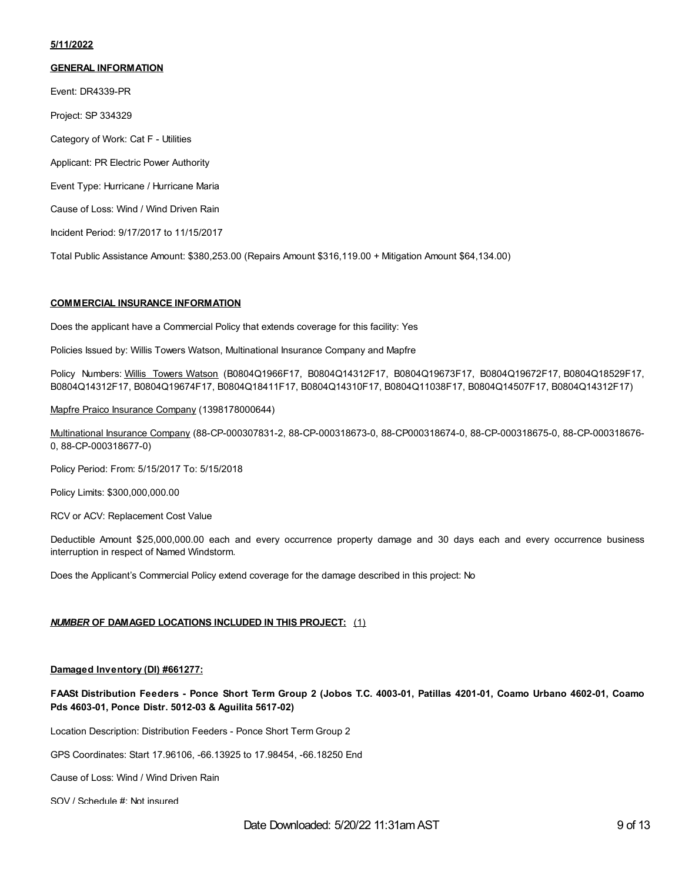#### **5/11/2022**

#### **GENERAL INFORMATION**

Event: DR4339-PR

Project: SP 334329

Category of Work: Cat F - Utilities

Applicant: PR Electric Power Authority

Event Type: Hurricane / Hurricane Maria

Cause of Loss: Wind / Wind Driven Rain

Incident Period: 9/17/2017 to 11/15/2017

Total Public Assistance Amount: \$380,253.00 (Repairs Amount \$316,119.00 + Mitigation Amount \$64,134.00)

#### **COMMERCIAL INSURANCE INFORMATION**

Does the applicant have a Commercial Policy that extends coverage for this facility: Yes

Policies Issued by: Willis Towers Watson, Multinational Insurance Company and Mapfre

Policy Numbers: Willis Towers Watson (B0804Q1966F17, B0804Q14312F17, B0804Q19673F17, B0804Q19672F17, B0804Q18529F17, B0804Q14312F17, B0804Q19674F17, B0804Q18411F17, B0804Q14310F17, B0804Q11038F17, B0804Q14507F17, B0804Q14312F17)

Mapfre Praico Insurance Company (1398178000644)

Multinational Insurance Company (88-CP-000307831-2, 88-CP-000318673-0, 88-CP000318674-0, 88-CP-000318675-0, 88-CP-000318676- 0, 88-CP-000318677-0)

Policy Period: From: 5/15/2017 To: 5/15/2018

Policy Limits: \$300,000,000.00

RCV or ACV: Replacement Cost Value

Deductible Amount \$25,000,000.00 each and every occurrence property damage and 30 days each and every occurrence business interruption in respect of Named Windstorm.

Does the Applicant's Commercial Policy extend coverage for the damage described in this project: No

#### *NUMBER* **OF DAMAGED LOCATIONS INCLUDED IN THIS PROJECT:** (1)

#### **Damaged Inventory (DI) #661277:**

FAASt Distribution Feeders - Ponce Short Term Group 2 (Jobos T.C. 4003-01, Patillas 4201-01, Coamo Urbano 4602-01, Coamo **Pds 4603-01, Ponce Distr. 5012-03 & Aguilita 5617-02)**

Location Description: Distribution Feeders - Ponce Short Term Group 2

GPS Coordinates: Start 17.96106, -66.13925 to 17.98454, -66.18250 End

Cause of Loss: Wind / Wind Driven Rain

SOV / Schedule #: Not insured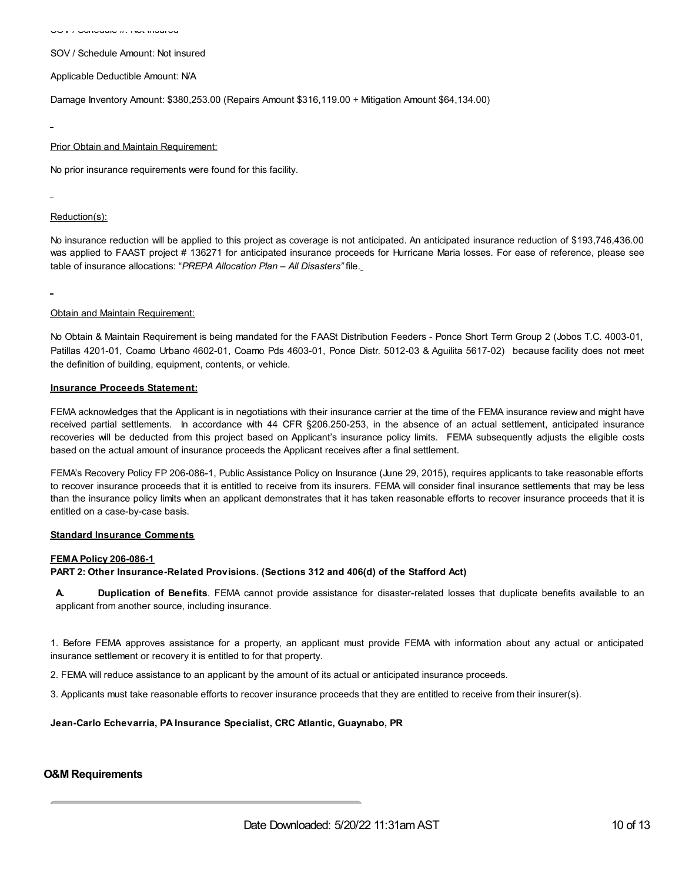SOV / Schedule Amount: Not insured

Applicable Deductible Amount: N/A

Damage Inventory Amount: \$380,253.00 (Repairs Amount \$316,119.00 + Mitigation Amount \$64,134.00)

#### **Prior Obtain and Maintain Requirement:**

No prior insurance requirements were found for this facility.

#### Reduction(s):

No insurance reduction will be applied to this project as coverage is not anticipated. An anticipated insurance reduction of \$193,746,436.00 was applied to FAAST project # 136271 for anticipated insurance proceeds for Hurricane Maria losses. For ease of reference, please see table of insurance allocations: "*PREPA Allocation Plan – All Disasters"* file.

#### Obtain and Maintain Requirement:

No Obtain & Maintain Requirement is being mandated for the FAASt Distribution Feeders - Ponce Short Term Group 2 (Jobos T.C. 4003-01, Patillas 4201-01, Coamo Urbano 4602-01, Coamo Pds 4603-01, Ponce Distr. 5012-03 & Aguilita 5617-02) because facility does not meet the definition of building, equipment, contents, or vehicle.

#### **Insurance Proceeds Statement:**

FEMA acknowledges that the Applicant is in negotiations with their insurance carrier at the time of the FEMA insurance review and might have received partial settlements. In accordance with 44 CFR §206.250-253, in the absence of an actual settlement, anticipated insurance recoveries will be deducted from this project based on Applicant's insurance policy limits. FEMA subsequently adjusts the eligible costs based on the actual amount of insurance proceeds the Applicant receives after a final settlement.

FEMA's Recovery Policy FP 206-086-1, Public Assistance Policy on Insurance (June 29, 2015), requires applicants to take reasonable efforts to recover insurance proceeds that it is entitled to receive from its insurers. FEMA will consider final insurance settlements that may be less than the insurance policy limits when an applicant demonstrates that it has taken reasonable efforts to recover insurance proceeds that it is entitled on a case-by-case basis.

#### **Standard Insurance Comments**

#### **FEMA Policy 206-086-1**

**PART 2: Other Insurance-Related Provisions. (Sections 312 and 406(d) of the Stafford Act)**

**A. Duplication of Benefits**. FEMA cannot provide assistance for disaster-related losses that duplicate benefits available to an applicant from another source, including insurance.

1. Before FEMA approves assistance for a property, an applicant must provide FEMA with information about any actual or anticipated insurance settlement or recovery it is entitled to for that property.

2. FEMA will reduce assistance to an applicant by the amount of its actual or anticipated insurance proceeds.

3. Applicants must take reasonable efforts to recover insurance proceeds that they are entitled to receive from their insurer(s).

**Jean-Carlo Echevarria, PA Insurance Specialist, CRC Atlantic, Guaynabo, PR**

## **O&M Requirements**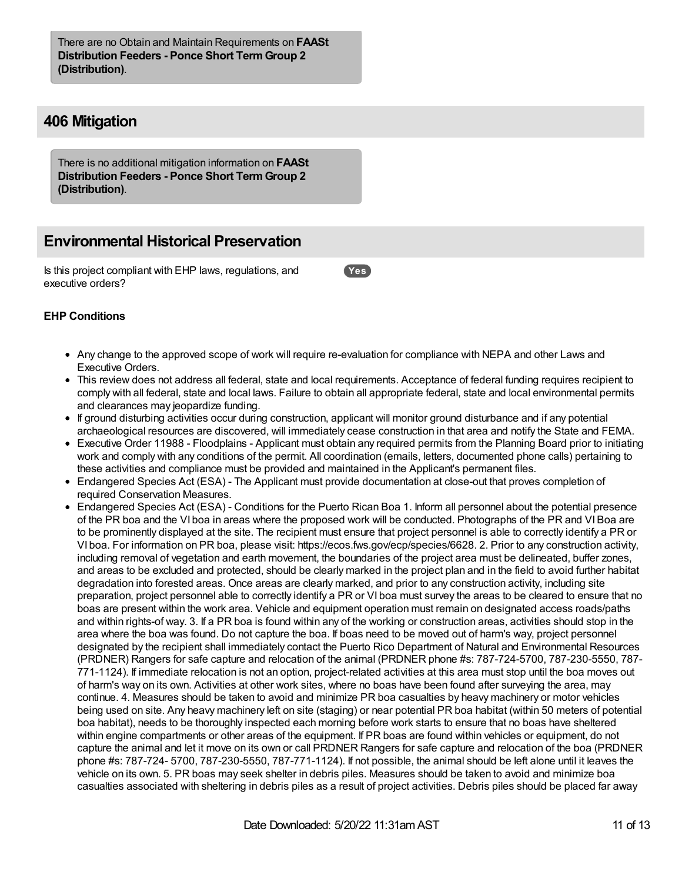There are no Obtain and Maintain Requirements on **FAASt Distribution Feeders - Ponce Short TermGroup 2 (Distribution)**.

## **406 Mitigation**

There is no additional mitigation information on **FAASt Distribution Feeders - Ponce Short TermGroup 2 (Distribution)**.

## **Environmental Historical Preservation**

Is this project compliant with EHP laws, regulations, and executive orders?

**Yes**

## **EHP Conditions**

- Any change to the approved scope of work will require re-evaluation for compliance with NEPA and other Laws and Executive Orders.
- This review does not address all federal, state and local requirements. Acceptance of federal funding requires recipient to comply with all federal, state and local laws. Failure to obtain all appropriate federal, state and local environmental permits and clearances may jeopardize funding.
- If ground disturbing activities occur during construction, applicant will monitor ground disturbance and if any potential archaeological resources are discovered, will immediately cease construction in that area and notify the State and FEMA.
- Executive Order 11988 Floodplains Applicant must obtain any required permits from the Planning Board prior to initiating work and comply with any conditions of the permit. All coordination (emails, letters, documented phone calls) pertaining to these activities and compliance must be provided and maintained in the Applicant's permanent files.
- Endangered Species Act (ESA) The Applicant must provide documentation at close-out that proves completion of required Conservation Measures.
- Endangered Species Act (ESA) Conditions for the Puerto Rican Boa 1. Inform all personnel about the potential presence of the PR boa and the VI boa in areas where the proposed work will be conducted. Photographs of the PR and VIBoa are to be prominently displayed at the site. The recipient must ensure that project personnel is able to correctly identify a PR or VI boa. For information on PR boa, please visit: https://ecos.fws.gov/ecp/species/6628. 2. Prior to any construction activity, including removal of vegetation and earth movement, the boundaries of the project area must be delineated, buffer zones, and areas to be excluded and protected, should be clearly marked in the project plan and in the field to avoid further habitat degradation into forested areas. Once areas are clearly marked, and prior to any construction activity, including site preparation, project personnel able to correctly identify a PR or VI boa must survey the areas to be cleared to ensure that no boas are present within the work area. Vehicle and equipment operation must remain on designated access roads/paths and within rights-of way. 3. If a PR boa is found within any of the working or construction areas, activities should stop in the area where the boa was found. Do not capture the boa. If boas need to be moved out of harm's way, project personnel designated by the recipient shall immediately contact the Puerto Rico Department of Natural and Environmental Resources (PRDNER) Rangers for safe capture and relocation of the animal (PRDNER phone #s: 787-724-5700, 787-230-5550, 787- 771-1124). If immediate relocation is not an option, project-related activities at this area must stop until the boa moves out of harm's way on its own. Activities at other work sites, where no boas have been found after surveying the area, may continue. 4. Measures should be taken to avoid and minimize PR boa casualties by heavy machinery or motor vehicles being used on site. Any heavy machinery left on site (staging) or near potential PR boa habitat (within 50 meters of potential boa habitat), needs to be thoroughly inspected each morning before work starts to ensure that no boas have sheltered within engine compartments or other areas of the equipment. If PR boas are found within vehicles or equipment, do not capture the animal and let it move on its own or call PRDNER Rangers for safe capture and relocation of the boa (PRDNER phone #s: 787-724- 5700, 787-230-5550, 787-771-1124). If not possible, the animal should be left alone until it leaves the vehicle on its own. 5. PR boas may seek shelter in debris piles. Measures should be taken to avoid and minimize boa casualties associated with sheltering in debris piles as a result of project activities. Debris piles should be placed far away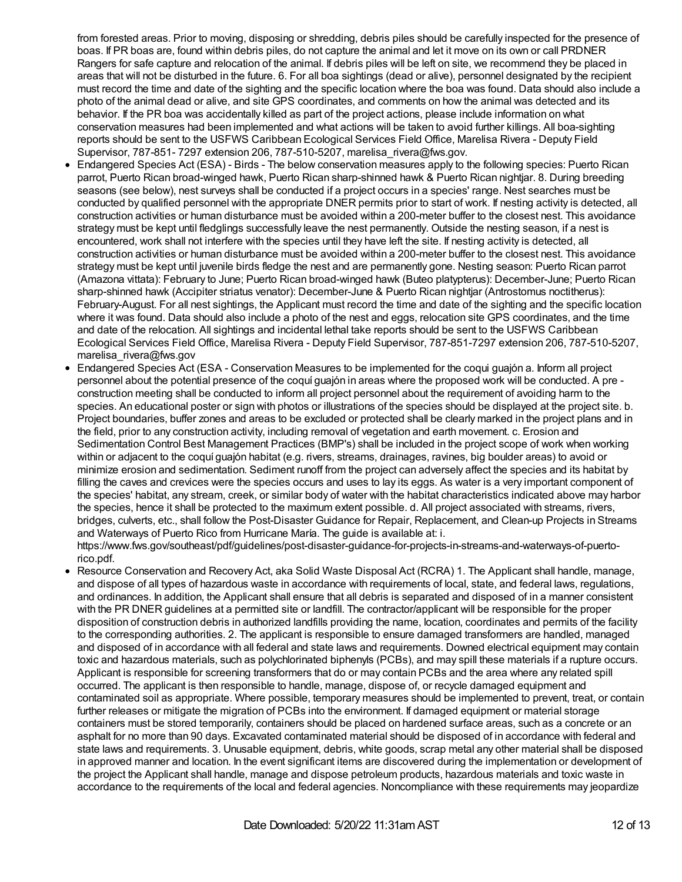from forested areas. Prior to moving, disposing or shredding, debris piles should be carefully inspected for the presence of boas. If PR boas are, found within debris piles, do not capture the animal and let it move on its own or call PRDNER Rangers for safe capture and relocation of the animal. If debris piles will be left on site, we recommend they be placed in areas that will not be disturbed in the future. 6. For all boa sightings (dead or alive), personnel designated by the recipient must record the time and date of the sighting and the specific location where the boa was found. Data should also include a photo of the animal dead or alive, and site GPS coordinates, and comments on how the animal was detected and its behavior. If the PR boa was accidentally killed as part of the project actions, please include information on what conservation measures had been implemented and what actions will be taken to avoid further killings. All boa-sighting reports should be sent to the USFWS Caribbean Ecological Services Field Office, Marelisa Rivera - Deputy Field Supervisor, 787-851- 7297 extension 206, 787-510-5207, marelisa\_rivera@fws.gov.

- Endangered Species Act (ESA) Birds The below conservation measures apply to the following species: Puerto Rican parrot, Puerto Rican broad-winged hawk, Puerto Rican sharp-shinned hawk & Puerto Rican nightjar. 8. During breeding seasons (see below), nest surveys shall be conducted if a project occurs in a species' range. Nest searches must be conducted by qualified personnel with the appropriate DNER permits prior to start of work. If nesting activity is detected, all construction activities or human disturbance must be avoided within a 200-meter buffer to the closest nest. This avoidance strategy must be kept until fledglings successfully leave the nest permanently. Outside the nesting season, if a nest is encountered, work shall not interfere with the species until they have left the site. If nesting activity is detected, all construction activities or human disturbance must be avoided within a 200-meter buffer to the closest nest. This avoidance strategy must be kept until juvenile birds fledge the nest and are permanently gone. Nesting season: Puerto Rican parrot (Amazona vittata): February to June; Puerto Rican broad-winged hawk (Buteo platypterus): December-June; Puerto Rican sharp-shinned hawk (Accipiter striatus venator): December-June & Puerto Rican nightjar (Antrostomus noctitherus): February-August. For all nest sightings, the Applicant must record the time and date of the sighting and the specific location where it was found. Data should also include a photo of the nest and eggs, relocation site GPS coordinates, and the time and date of the relocation. All sightings and incidental lethal take reports should be sent to the USFWS Caribbean Ecological Services Field Office, Marelisa Rivera - Deputy Field Supervisor, 787-851-7297 extension 206, 787-510-5207, marelisa rivera@fws.gov
- Endangered Species Act (ESA Conservation Measures to be implemented for the coqui guajón a. Inform all project personnel about the potential presence of the coquí guajón in areas where the proposed work will be conducted. A pre construction meeting shall be conducted to inform all project personnel about the requirement of avoiding harm to the species. An educational poster or sign with photos or illustrations of the species should be displayed at the project site. b. Project boundaries, buffer zones and areas to be excluded or protected shall be clearly marked in the project plans and in the field, prior to any construction activity, including removal of vegetation and earth movement. c. Erosion and Sedimentation Control Best Management Practices (BMP's) shall be included in the project scope of work when working within or adjacent to the coquí guajón habitat (e.g. rivers, streams, drainages, ravines, big boulder areas) to avoid or minimize erosion and sedimentation. Sediment runoff from the project can adversely affect the species and its habitat by filling the caves and crevices were the species occurs and uses to lay its eggs. As water is a very important component of the species' habitat, any stream, creek, or similar body of water with the habitat characteristics indicated above may harbor the species, hence it shall be protected to the maximum extent possible. d. All project associated with streams, rivers, bridges, culverts, etc., shall follow the Post-Disaster Guidance for Repair, Replacement, and Clean-up Projects in Streams and Waterways of Puerto Rico from Hurricane María. The guide is available at: i. https://www.fws.gov/southeast/pdf/guidelines/post-disaster-guidance-for-projects-in-streams-and-waterways-of-puerto-
- rico.pdf. Resource Conservation and Recovery Act, aka Solid Waste Disposal Act (RCRA) 1. The Applicant shall handle, manage, and dispose of all types of hazardous waste in accordance with requirements of local, state, and federal laws, regulations, and ordinances. In addition, the Applicant shall ensure that all debris is separated and disposed of in a manner consistent with the PR DNER guidelines at a permitted site or landfill. The contractor/applicant will be responsible for the proper disposition of construction debris in authorized landfills providing the name, location, coordinates and permits of the facility to the corresponding authorities. 2. The applicant is responsible to ensure damaged transformers are handled, managed and disposed of in accordance with all federal and state laws and requirements. Downed electrical equipment may contain toxic and hazardous materials, such as polychlorinated biphenyls (PCBs), and may spill these materials if a rupture occurs. Applicant is responsible for screening transformers that do or may contain PCBs and the area where any related spill occurred. The applicant is then responsible to handle, manage, dispose of, or recycle damaged equipment and contaminated soil as appropriate. Where possible, temporary measures should be implemented to prevent, treat, or contain further releases or mitigate the migration of PCBs into the environment. If damaged equipment or material storage containers must be stored temporarily, containers should be placed on hardened surface areas, such as a concrete or an asphalt for no more than 90 days. Excavated contaminated material should be disposed of in accordance with federal and state laws and requirements. 3. Unusable equipment, debris, white goods, scrap metal any other material shall be disposed in approved manner and location. In the event significant items are discovered during the implementation or development of the project the Applicant shall handle, manage and dispose petroleum products, hazardous materials and toxic waste in accordance to the requirements of the local and federal agencies. Noncompliance with these requirements may jeopardize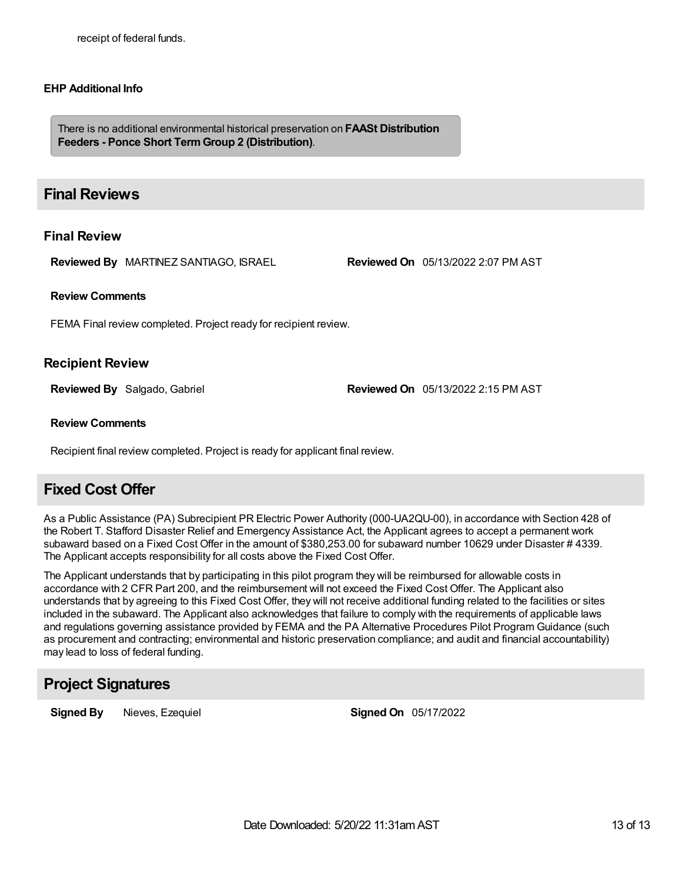## **EHP Additional Info**

There is no additional environmental historical preservation on **FAASt Distribution Feeders - Ponce Short TermGroup 2 (Distribution)**.

## **Final Reviews**

## **Final Review**

**Reviewed By** MARTINEZ SANTIAGO, ISRAEL **Reviewed On** 05/13/2022 2:07 PM AST

### **Review Comments**

FEMA Final review completed. Project ready for recipient review.

## **Recipient Review**

**Reviewed By** Salgado, Gabriel **Reviewed On** 05/13/2022 2:15 PM AST

## **Review Comments**

Recipient final review completed. Project is ready for applicant final review.

## **Fixed Cost Offer**

As a Public Assistance (PA) Subrecipient PR Electric Power Authority (000-UA2QU-00), in accordance with Section 428 of the Robert T. Stafford Disaster Relief and Emergency Assistance Act, the Applicant agrees to accept a permanent work subaward based on a Fixed Cost Offer in the amount of \$380,253.00 for subaward number 10629 under Disaster # 4339. The Applicant accepts responsibility for all costs above the Fixed Cost Offer.

The Applicant understands that by participating in this pilot program they will be reimbursed for allowable costs in accordance with 2 CFR Part 200, and the reimbursement will not exceed the Fixed Cost Offer. The Applicant also understands that by agreeing to this Fixed Cost Offer, they will not receive additional funding related to the facilities or sites included in the subaward. The Applicant also acknowledges that failure to comply with the requirements of applicable laws and regulations governing assistance provided by FEMA and the PA Alternative Procedures Pilot Program Guidance (such as procurement and contracting; environmental and historic preservation compliance; and audit and financial accountability) may lead to loss of federal funding.

## **Project Signatures**

**Signed By** Nieves, Ezequiel **Signed On** 05/17/2022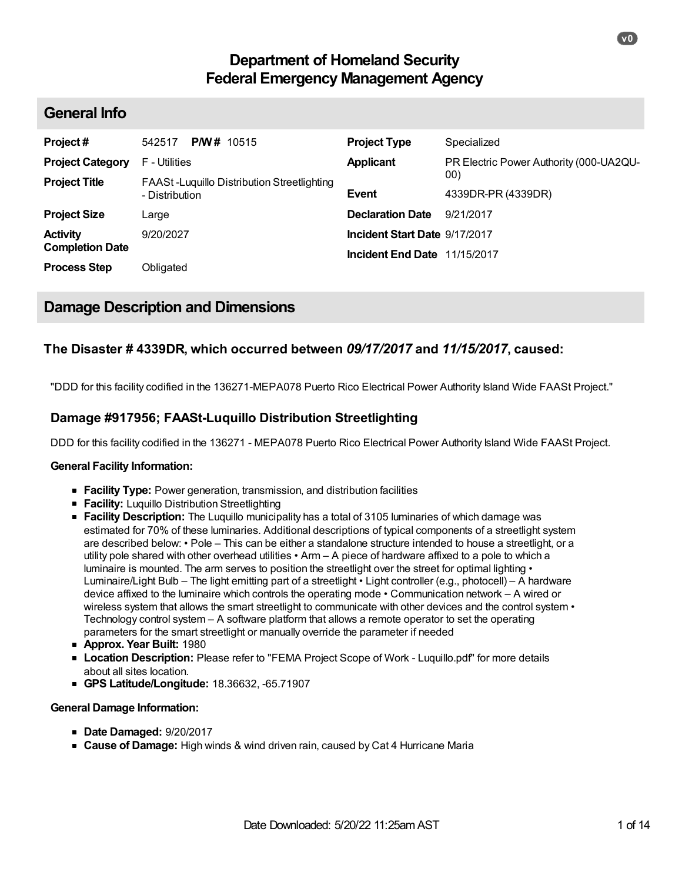# **Department of Homeland Security Federal Emergency Management Agency**

## **General Info**

| Project#                | <b>P/W</b> # 10515<br>542517                                 | <b>Project Type</b>           | Specialized                             |
|-------------------------|--------------------------------------------------------------|-------------------------------|-----------------------------------------|
| <b>Project Category</b> | F - Utilities                                                | <b>Applicant</b>              | PR Electric Power Authority (000-UA2QU- |
| <b>Project Title</b>    | FAASt-Luguillo Distribution Streetlighting<br>- Distribution | <b>Event</b>                  | 00)<br>4339DR-PR (4339DR)               |
| <b>Project Size</b>     | Large                                                        | <b>Declaration Date</b>       | 9/21/2017                               |
| <b>Activity</b>         | 9/20/2027                                                    | Incident Start Date 9/17/2017 |                                         |
| <b>Completion Date</b>  |                                                              | Incident End Date 11/15/2017  |                                         |
| <b>Process Step</b>     | Obligated                                                    |                               |                                         |

# **Damage Description and Dimensions**

## **The Disaster # 4339DR, which occurred between** *09/17/2017* **and** *11/15/2017***, caused:**

"DDD for this facility codified in the 136271-MEPA078 Puerto Rico Electrical Power Authority Island Wide FAASt Project."

## **Damage #917956; FAASt-Luquillo Distribution Streetlighting**

DDD for this facility codified in the 136271 - MEPA078 Puerto Rico Electrical Power Authority Island Wide FAASt Project.

## **General Facility Information:**

- **Facility Type:** Power generation, transmission, and distribution facilities
- **Facility:** Luquillo Distribution Streetlighting
- **Facility Description:** The Luquillo municipality has a total of 3105 luminaries of which damage was estimated for 70% of these luminaries. Additional descriptions of typical components of a streetlight system are described below: • Pole – This can be either a standalone structure intended to house a streetlight, or a utility pole shared with other overhead utilities • Arm – A piece of hardware affixed to a pole to which a luminaire is mounted. The arm serves to position the streetlight over the street for optimal lighting  $\cdot$ Luminaire/Light Bulb – The light emitting part of a streetlight • Light controller (e.g., photocell) – A hardware device affixed to the luminaire which controls the operating mode • Communication network – A wired or wireless system that allows the smart streetlight to communicate with other devices and the control system  $\cdot$ Technology control system – A software platform that allows a remote operator to set the operating parameters for the smart streetlight or manually override the parameter if needed
- **Approx. Year Built:** 1980
- **Location Description:** Please refer to "FEMA Project Scope of Work Luquillo.pdf" for more details about all sites location.
- **GPS Latitude/Longitude:** 18.36632, -65.71907

## **General Damage Information:**

- **Date Damaged:** 9/20/2017
- **Cause of Damage:** High winds & wind driven rain, caused by Cat 4 Hurricane Maria

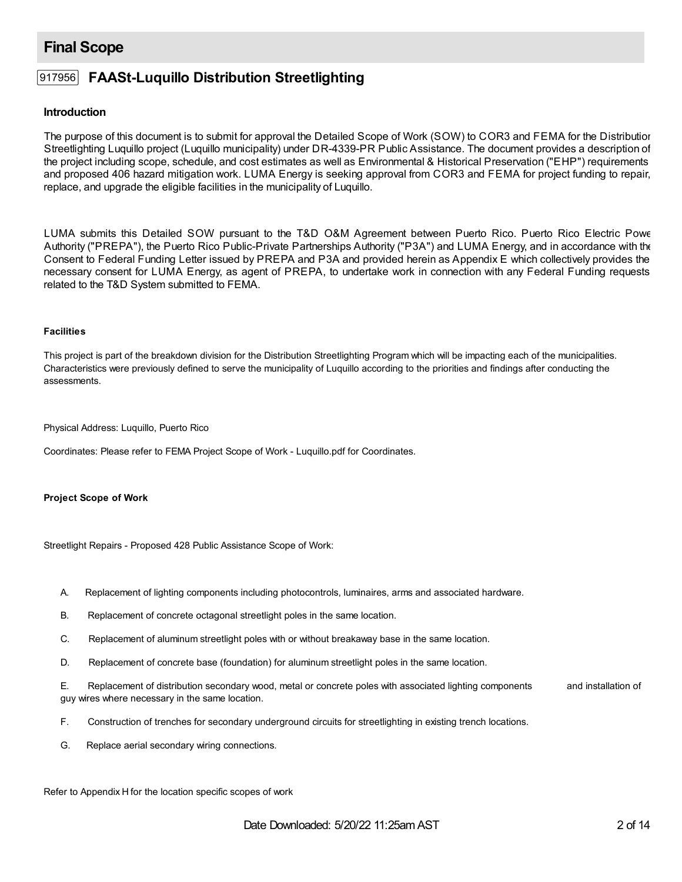# **Final Scope**

## 917956 **FAASt-Luquillo Distribution Streetlighting**

## **Introduction**

The purpose of this document is to submit for approval the Detailed Scope of Work (SOW) to COR3 and FEMA for the Distribution Streetlighting Luquillo project (Luquillo municipality) under DR-4339-PR Public Assistance. The document provides a description of the project including scope, schedule, and cost estimates as well as Environmental & Historical Preservation ("EHP") requirements and proposed 406 hazard mitigation work. LUMA Energy is seeking approval from COR3 and FEMA for project funding to repair, replace, and upgrade the eligible facilities in the municipality of Luquillo.

LUMA submits this Detailed SOW pursuant to the T&D O&M Agreement between Puerto Rico. Puerto Rico Electric Power Authority ("PREPA"), the Puerto Rico Public-Private Partnerships Authority ("P3A") and LUMA Energy, and in accordance with the Consent to Federal Funding Letter issued by PREPA and P3A and provided herein as Appendix E which collectively provides the necessary consent for LUMA Energy, as agent of PREPA, to undertake work in connection with any Federal Funding requests related to the T&D System submitted to FEMA.

#### **Facilities**

This project is part of the breakdown division for the Distribution Streetlighting Program which will be impacting each of the municipalities. Characteristics were previously defined to serve the municipality of Luquillo according to the priorities and findings after conducting the assessments.

Physical Address: Luquillo, Puerto Rico

Coordinates: Please refer to FEMA Project Scope of Work - Luquillo.pdf for Coordinates.

## **Project Scope of Work**

Streetlight Repairs - Proposed 428 Public Assistance Scope of Work:

- A. Replacement of lighting components including photocontrols, luminaires, arms and associated hardware.
- B. Replacement of concrete octagonal streetlight poles in the same location.
- C. Replacement of aluminum streetlight poles with or without breakaway base in the same location.
- D. Replacement of concrete base (foundation) for aluminum streetlight poles in the same location.

E. Replacement of distribution secondary wood, metal or concrete poles with associated lighting components and installation of guy wires where necessary in the same location.

- F. Construction of trenches for secondary underground circuits for streetlighting in existing trench locations.
- G. Replace aerial secondary wiring connections.

Refer to Appendix H for the location specific scopes of work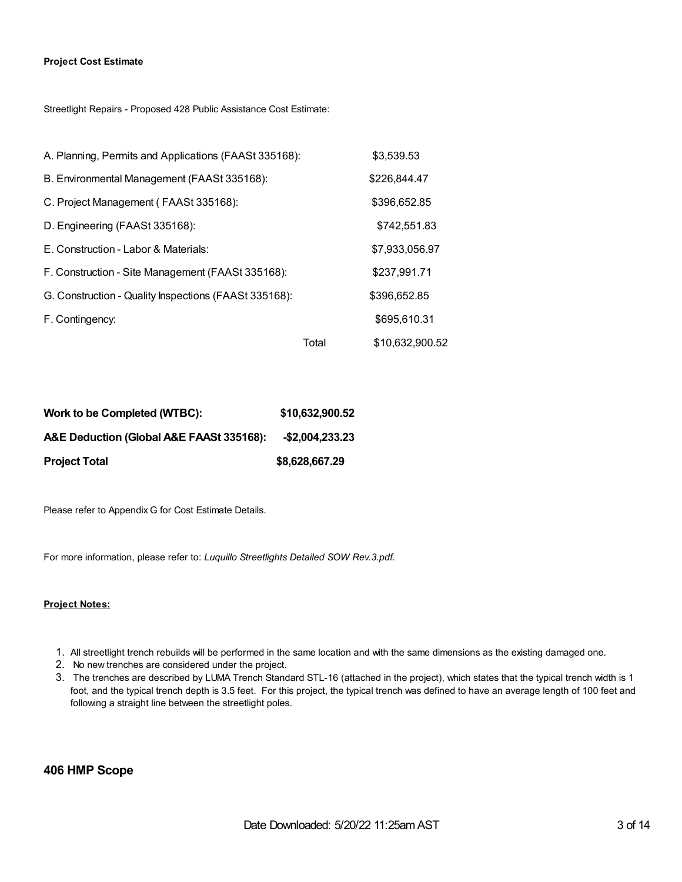#### **Project Cost Estimate**

Streetlight Repairs - Proposed 428 Public Assistance Cost Estimate:

| A. Planning, Permits and Applications (FAASt 335168): |       | \$3,539.53      |
|-------------------------------------------------------|-------|-----------------|
| B. Environmental Management (FAASt 335168):           |       | \$226,844.47    |
| C. Project Management (FAASt 335168):                 |       | \$396,652.85    |
| D. Engineering (FAASt 335168):                        |       | \$742,551.83    |
| E. Construction - Labor & Materials:                  |       | \$7,933,056.97  |
| F. Construction - Site Management (FAASt 335168):     |       | \$237,991.71    |
| G. Construction - Quality Inspections (FAASt 335168): |       | \$396,652.85    |
| F. Contingency:                                       |       | \$695,610.31    |
|                                                       | Total | \$10,632,900.52 |

| Work to be Completed (WTBC):             | \$10,632,900.52 |
|------------------------------------------|-----------------|
| A&E Deduction (Global A&E FAASt 335168): | -\$2.004.233.23 |
| <b>Project Total</b>                     | \$8,628,667.29  |

Please refer to Appendix G for Cost Estimate Details.

For more information, please refer to: *Luquillo Streetlights Detailed SOW Rev.3.pdf.*

### **Project Notes:**

- 1. All streetlight trench rebuilds will be performed in the same location and with the same dimensions as the existing damaged one.
- 2. No new trenches are considered under the project.
- 3. The trenches are described by LUMA Trench Standard STL-16 (attached in the project), which states that the typical trench width is 1 foot, and the typical trench depth is 3.5 feet. For this project, the typical trench was defined to have an average length of 100 feet and following a straight line between the streetlight poles.

### **406 HMP Scope**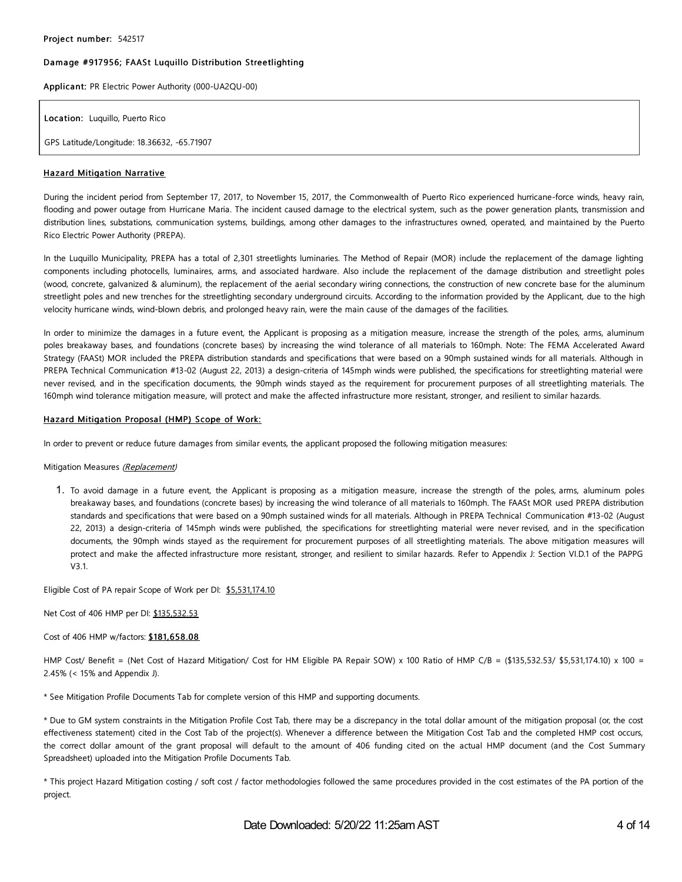#### Damage #917956; FAASt Luquillo Distribution Streetlighting

Applica nt: PR Electric Power Authority (000-UA2QU-00)

Location: Luquillo, Puerto Rico

GPS Latitude/Longitude: 18.36632, -65.71907

#### Hazard Mitigation Narrative

During the incident period from September 17, 2017, to November 15, 2017, the Commonwealth of Puerto Rico experienced hurricane-force winds, heavy rain, flooding and power outage from Hurricane Maria. The incident caused damage to the electrical system, such as the power generation plants, transmission and distribution lines, substations, communication systems, buildings, among other damages to the infrastructures owned, operated, and maintained by the Puerto Rico Electric Power Authority (PREPA).

In the Luquillo Municipality, PREPA has a total of 2,301 streetlights luminaries. The Method of Repair (MOR) include the replacement of the damage lighting components including photocells, luminaires, arms, and associated hardware. Also include the replacement of the damage distribution and streetlight poles (wood, concrete, galvanized & aluminum), the replacement of the aerial secondary wiring connections, the construction of new concrete base for the aluminum streetlight poles and new trenches for the streetlighting secondary underground circuits. According to the information provided by the Applicant, due to the high velocity hurricane winds, wind-blown debris, and prolonged heavy rain, were the main cause of the damages of the facilities.

In order to minimize the damages in a future event, the Applicant is proposing as a mitigation measure, increase the strength of the poles, arms, aluminum poles breakaway bases, and foundations (concrete bases) by increasing the wind tolerance of all materials to 160mph. Note: The FEMA Accelerated Award Strategy (FAASt) MOR included the PREPA distribution standards and specifications that were based on a 90mph sustained winds for all materials. Although in PREPA Technical Communication #13-02 (August 22, 2013) a design-criteria of 145mph winds were published, the specifications for streetlighting material were never revised, and in the specification documents, the 90mph winds stayed as the requirement for procurement purposes of all streetlighting materials. The 160mph wind tolerance mitigation measure, will protect and make the affected infrastructure more resistant, stronger, and resilient to similar hazards.

#### Hazard Mitigation Proposal (HMP) Scope of Work:

In order to prevent or reduce future damages from similar events, the applicant proposed the following mitigation measures:

#### Mitigation Measures (Replacement)

1. To avoid damage in a future event, the Applicant is proposing as a mitigation measure, increase the strength of the poles, arms, aluminum poles breakaway bases, and foundations (concrete bases) by increasing the wind tolerance of all materials to 160mph. The FAASt MOR used PREPA distribution standards and specifications that were based on a 90mph sustained winds for all materials. Although in PREPA Technical Communication #13-02 (August 22, 2013) a design-criteria of 145mph winds were published, the specifications for streetlighting material were never revised, and in the specification documents, the 90mph winds stayed as the requirement for procurement purposes of all streetlighting materials. The above mitigation measures will protect and make the affected infrastructure more resistant, stronger, and resilient to similar hazards. Refer to Appendix J: Section VI.D.1 of the PAPPG V3.1.

Eligible Cost of PA repair Scope of Work per DI: \$5,531,174.10

Net Cost of 406 HMP per DI: \$135,532.53

Cost of 406 HMP w/factors: \$181,658.08

HMP Cost/ Benefit = (Net Cost of Hazard Mitigation/ Cost for HM Eligible PA Repair SOW) x 100 Ratio of HMP C/B = (\$135,532.53/ \$5,531,174.10) x 100 = 2.45% (< 15% and Appendix J).

\* See Mitigation Profile Documents Tab for complete version of this HMP and supporting documents.

\* Due to GM system constraints in the Mitigation Profile Cost Tab, there may be a discrepancy in the total dollar amount of the mitigation proposal (or, the cost effectiveness statement) cited in the Cost Tab of the project(s). Whenever a difference between the Mitigation Cost Tab and the completed HMP cost occurs, the correct dollar amount of the grant proposal will default to the amount of 406 funding cited on the actual HMP document (and the Cost Summary Spreadsheet) uploaded into the Mitigation Profile Documents Tab.

\* This project Hazard Mitigation costing / soft cost / factor methodologies followed the same procedures provided in the cost estimates of the PA portion of the project.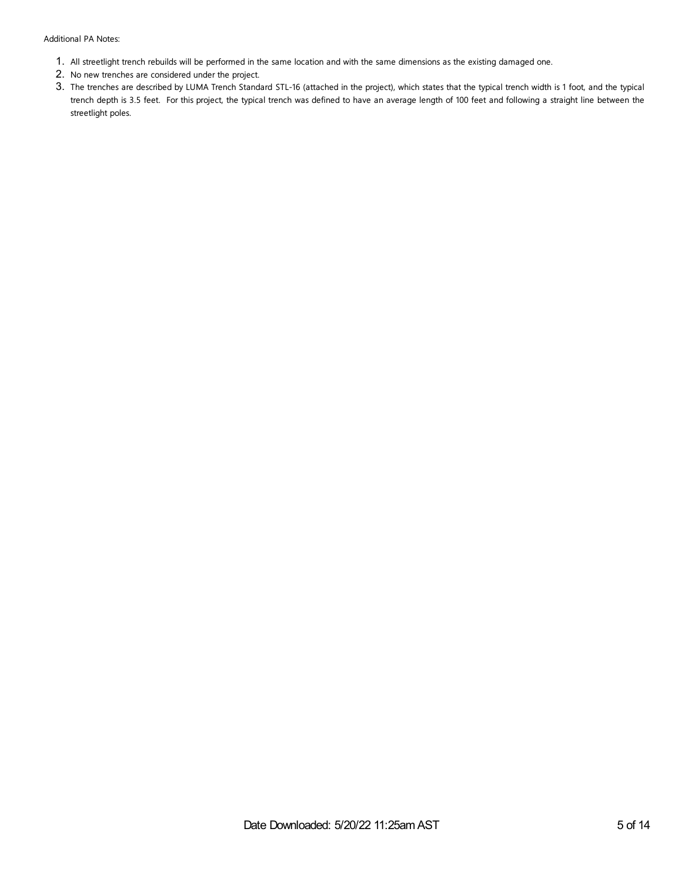- 1. All streetlight trench rebuilds will be performed in the same location and with the same dimensions as the existing damaged one.
- 2. No new trenches are considered under the project.
- 3. The trenches are described by LUMA Trench Standard STL-16 (attached in the project), which states that the typical trench width is 1 foot, and the typical trench depth is 3.5 feet. For this project, the typical trench was defined to have an average length of 100 feet and following a straight line between the streetlight poles.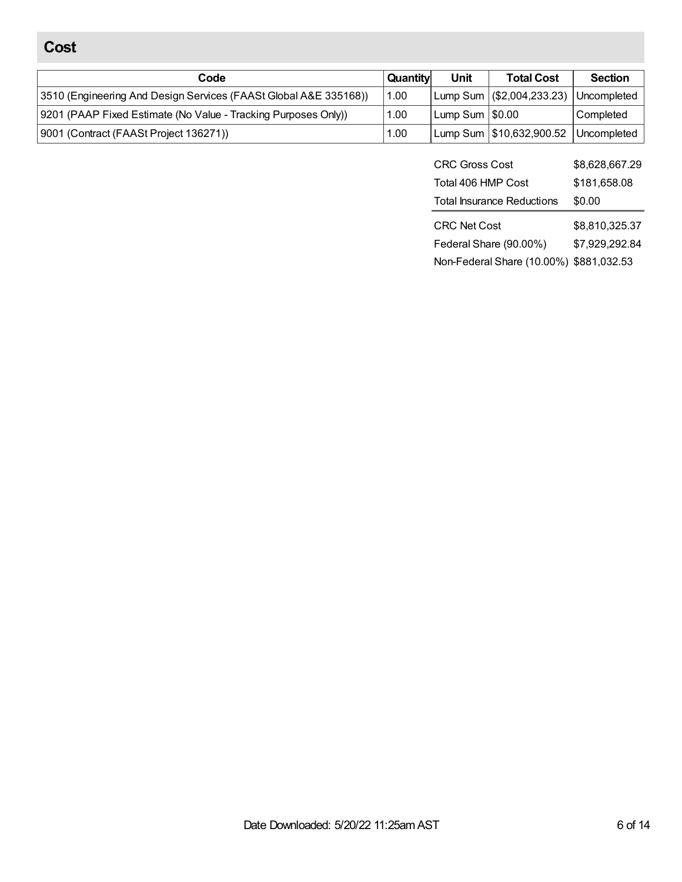# **Cost**

| Code                                                             | Quantity | Unit              | <b>Total Cost</b>           | <b>Section</b> |
|------------------------------------------------------------------|----------|-------------------|-----------------------------|----------------|
| 3510 (Engineering And Design Services (FAASt Global A&E 335168)) | 1.00     |                   | Lump Sum   (\$2,004,233.23) | Uncompleted    |
| 9201 (PAAP Fixed Estimate (No Value - Tracking Purposes Only))   | 1.00     | Lump Sum $ $0.00$ |                             | Completed      |
| 9001 (Contract (FAASt Project 136271))                           | 1.00     |                   | Lump Sum   \$10,632,900.52  | l Uncompleted  |

| <b>CRC Gross Cost</b>             | \$8,628,667.29                   |
|-----------------------------------|----------------------------------|
| Total 406 HMP Cost                | \$181,658.08                     |
| <b>Total Insurance Reductions</b> | \$0.00                           |
|                                   |                                  |
| <b>CRC Net Cost</b>               |                                  |
| Federal Share (90.00%)            | \$8,810,325.37<br>\$7,929,292.84 |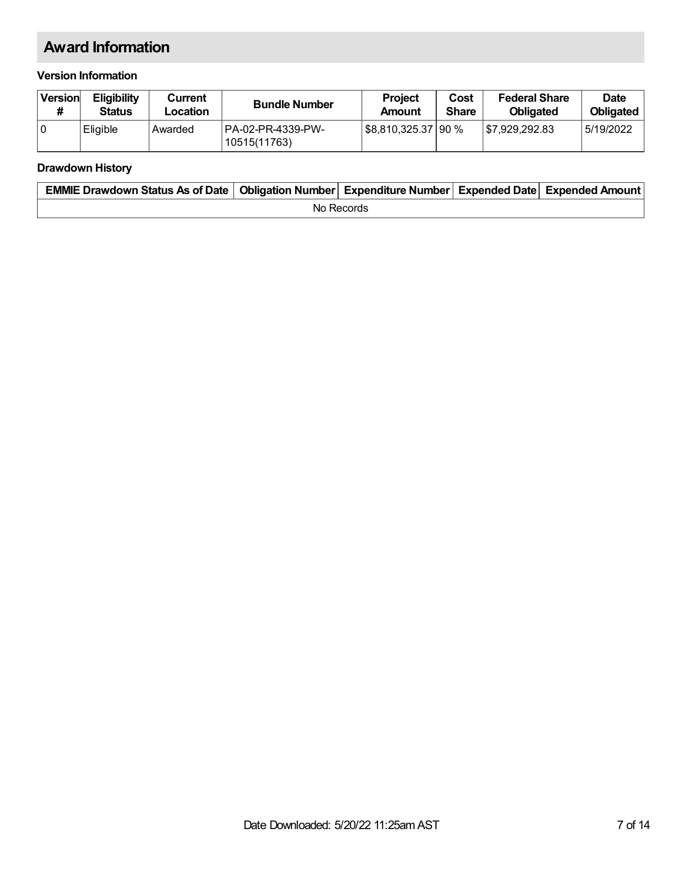# **Award Information**

## **Version Information**

| Version | <b>Eligibility</b><br><b>Status</b> | Current<br>Location | <b>Bundle Number</b>               | <b>Project</b><br>Amount | Cost<br><b>Share</b> | <b>Federal Share</b><br><b>Obligated</b> | <b>Date</b><br><b>Obligated</b> |
|---------|-------------------------------------|---------------------|------------------------------------|--------------------------|----------------------|------------------------------------------|---------------------------------|
| 10      | Eligible                            | Awarded             | IPA-02-PR-4339-PW-<br>10515(11763) | \$8,810,325.37   90 %    |                      | 87.929.292.83                            | 5/19/2022                       |

## **Drawdown History**

| EMMIE Drawdown Status As of Date   Obligation Number   Expenditure Number   Expended Date   Expended Amount |  |  |  |  |  |  |
|-------------------------------------------------------------------------------------------------------------|--|--|--|--|--|--|
| No Records                                                                                                  |  |  |  |  |  |  |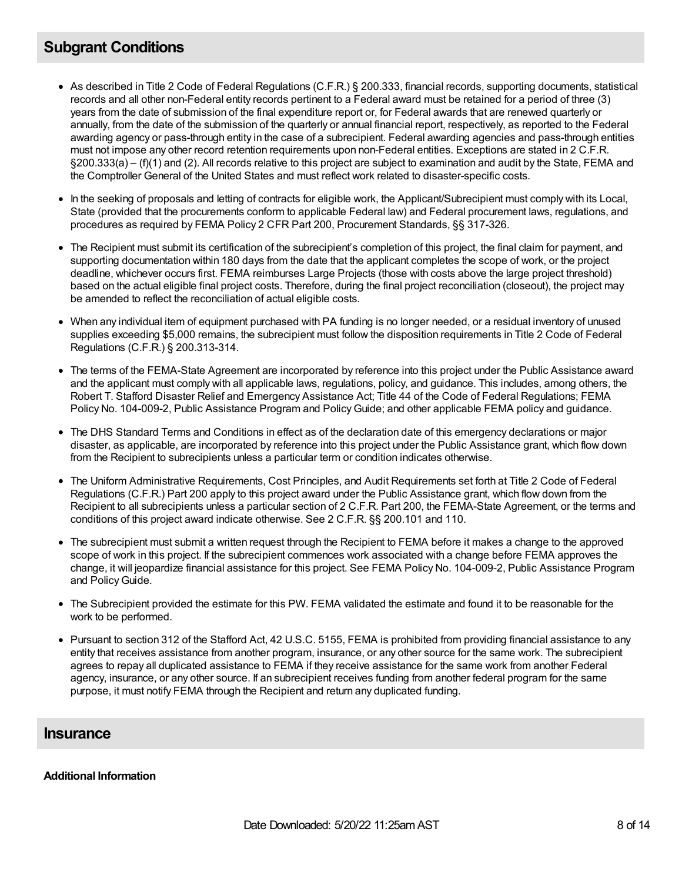# **Subgrant Conditions**

- As described in Title 2 Code of Federal Regulations (C.F.R.) § 200.333, financial records, supporting documents, statistical records and all other non-Federal entity records pertinent to a Federal award must be retained for a period of three (3) years from the date of submission of the final expenditure report or, for Federal awards that are renewed quarterly or annually, from the date of the submission of the quarterly or annual financial report, respectively, as reported to the Federal awarding agency or pass-through entity in the case of a subrecipient. Federal awarding agencies and pass-through entities must not impose any other record retention requirements upon non-Federal entities. Exceptions are stated in 2 C.F.R. §200.333(a) – (f)(1) and (2). All records relative to this project are subject to examination and audit by the State, FEMA and the Comptroller General of the United States and must reflect work related to disaster-specific costs.
- In the seeking of proposals and letting of contracts for eligible work, the Applicant/Subrecipient must comply with its Local, State (provided that the procurements conform to applicable Federal law) and Federal procurement laws, regulations, and procedures as required by FEMA Policy 2 CFR Part 200, Procurement Standards, §§ 317-326.
- The Recipient must submit its certification of the subrecipient's completion of this project, the final claim for payment, and supporting documentation within 180 days from the date that the applicant completes the scope of work, or the project deadline, whichever occurs first. FEMA reimburses Large Projects (those with costs above the large project threshold) based on the actual eligible final project costs. Therefore, during the final project reconciliation (closeout), the project may be amended to reflect the reconciliation of actual eligible costs.
- When any individual item of equipment purchased with PA funding is no longer needed, or a residual inventory of unused supplies exceeding \$5,000 remains, the subrecipient must follow the disposition requirements in Title 2 Code of Federal Regulations (C.F.R.) § 200.313-314.
- The terms of the FEMA-State Agreement are incorporated by reference into this project under the Public Assistance award and the applicant must comply with all applicable laws, regulations, policy, and guidance. This includes, among others, the Robert T. Stafford Disaster Relief and Emergency Assistance Act; Title 44 of the Code of Federal Regulations; FEMA Policy No. 104-009-2, Public Assistance Program and PolicyGuide; and other applicable FEMA policy and guidance.
- The DHS Standard Terms and Conditions in effect as of the declaration date of this emergency declarations or major disaster, as applicable, are incorporated by reference into this project under the Public Assistance grant, which flow down from the Recipient to subrecipients unless a particular term or condition indicates otherwise.
- The Uniform Administrative Requirements, Cost Principles, and Audit Requirements set forth at Title 2 Code of Federal Regulations (C.F.R.) Part 200 apply to this project award under the Public Assistance grant, which flow down from the Recipient to all subrecipients unless a particular section of 2 C.F.R. Part 200, the FEMA-State Agreement, or the terms and conditions of this project award indicate otherwise. See 2 C.F.R. §§ 200.101 and 110.
- The subrecipient must submit a written request through the Recipient to FEMA before it makes a change to the approved scope of work in this project. If the subrecipient commences work associated with a change before FEMA approves the change, it will jeopardize financial assistance for this project. See FEMA Policy No. 104-009-2, Public Assistance Program and Policy Guide.
- The Subrecipient provided the estimate for this PW. FEMA validated the estimate and found it to be reasonable for the work to be performed.
- Pursuant to section 312 of the Stafford Act, 42 U.S.C. 5155, FEMA is prohibited from providing financial assistance to any entity that receives assistance from another program, insurance, or any other source for the same work. The subrecipient agrees to repay all duplicated assistance to FEMA if they receive assistance for the same work from another Federal agency, insurance, or any other source. If an subrecipient receives funding from another federal program for the same purpose, it must notify FEMA through the Recipient and return any duplicated funding.

## **Insurance**

## **Additional Information**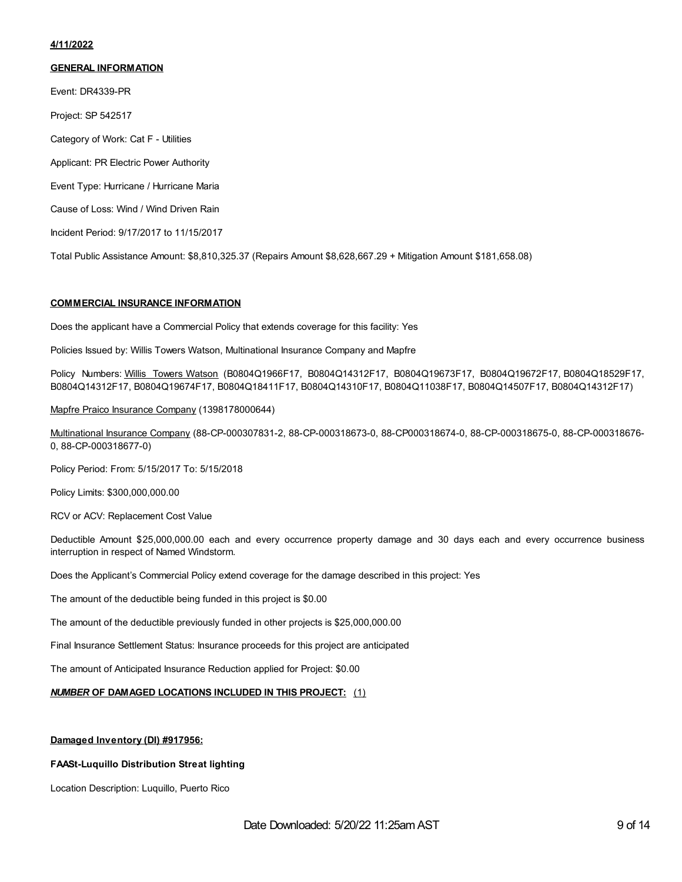#### **4/11/2022**

#### **GENERAL INFORMATION**

Event: DR4339-PR

Project: SP 542517

Category of Work: Cat F - Utilities

Applicant: PR Electric Power Authority

Event Type: Hurricane / Hurricane Maria

Cause of Loss: Wind / Wind Driven Rain

Incident Period: 9/17/2017 to 11/15/2017

Total Public Assistance Amount: \$8,810,325.37 (Repairs Amount \$8,628,667.29 + Mitigation Amount \$181,658.08)

#### **COMMERCIAL INSURANCE INFORMATION**

Does the applicant have a Commercial Policy that extends coverage for this facility: Yes

Policies Issued by: Willis Towers Watson, Multinational Insurance Company and Mapfre

Policy Numbers: Willis Towers Watson (B0804Q1966F17, B0804Q14312F17, B0804Q19673F17, B0804Q19672F17, B0804Q18529F17, B0804Q14312F17, B0804Q19674F17, B0804Q18411F17, B0804Q14310F17, B0804Q11038F17, B0804Q14507F17, B0804Q14312F17)

Mapfre Praico Insurance Company (1398178000644)

Multinational Insurance Company (88-CP-000307831-2, 88-CP-000318673-0, 88-CP000318674-0, 88-CP-000318675-0, 88-CP-000318676- 0, 88-CP-000318677-0)

Policy Period: From: 5/15/2017 To: 5/15/2018

Policy Limits: \$300,000,000.00

RCV or ACV: Replacement Cost Value

Deductible Amount \$25,000,000.00 each and every occurrence property damage and 30 days each and every occurrence business interruption in respect of Named Windstorm.

Does the Applicant's Commercial Policy extend coverage for the damage described in this project: Yes

The amount of the deductible being funded in this project is \$0.00

The amount of the deductible previously funded in other projects is \$25,000,000.00

Final Insurance Settlement Status: Insurance proceeds for this project are anticipated

The amount of Anticipated Insurance Reduction applied for Project: \$0.00

### *NUMBER* **OF DAMAGED LOCATIONS INCLUDED IN THIS PROJECT:** (1)

#### **Damaged Inventory (DI) #917956:**

#### **FAASt-Luquillo Distribution Streat lighting**

Location Description: Luquillo, Puerto Rico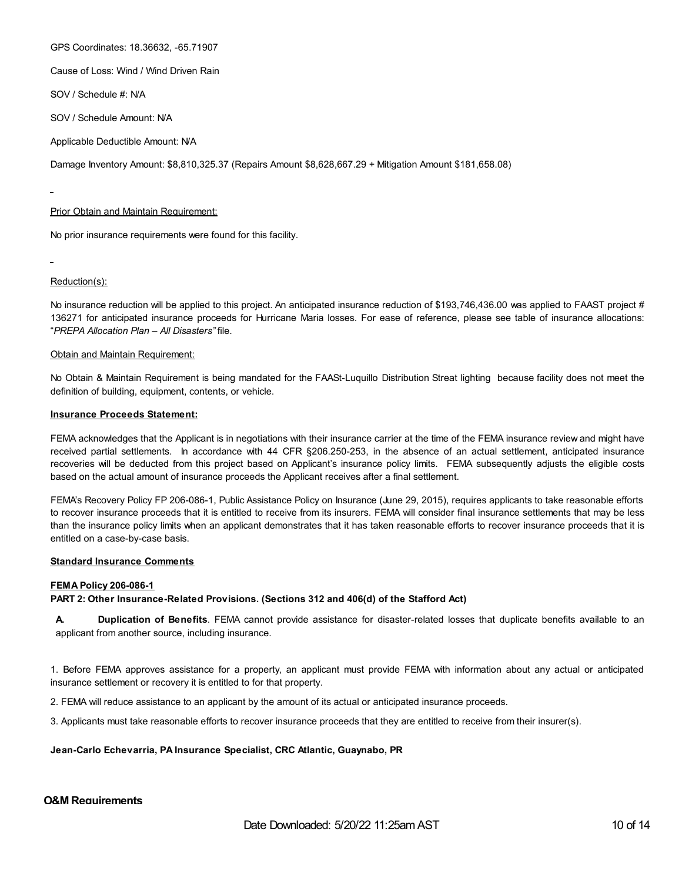GPS Coordinates: 18.36632, -65.71907

Cause of Loss: Wind / Wind Driven Rain

SOV / Schedule #: N/A

SOV / Schedule Amount: N/A

Applicable Deductible Amount: N/A

Damage Inventory Amount: \$8,810,325.37 (Repairs Amount \$8,628,667.29 + Mitigation Amount \$181,658.08)

#### Prior Obtain and Maintain Requirement:

No prior insurance requirements were found for this facility.

Reduction(s):

No insurance reduction will be applied to this project. An anticipated insurance reduction of \$193,746,436.00 was applied to FAAST project # 136271 for anticipated insurance proceeds for Hurricane Maria losses. For ease of reference, please see table of insurance allocations: "*PREPA Allocation Plan – All Disasters"* file.

#### **Obtain and Maintain Requirement:**

No Obtain & Maintain Requirement is being mandated for the FAASt-Luquillo Distribution Streat lighting because facility does not meet the definition of building, equipment, contents, or vehicle.

#### **Insurance Proceeds Statement:**

FEMA acknowledges that the Applicant is in negotiations with their insurance carrier at the time of the FEMA insurance review and might have received partial settlements. In accordance with 44 CFR §206.250-253, in the absence of an actual settlement, anticipated insurance recoveries will be deducted from this project based on Applicant's insurance policy limits. FEMA subsequently adjusts the eligible costs based on the actual amount of insurance proceeds the Applicant receives after a final settlement.

FEMA's Recovery Policy FP 206-086-1, Public Assistance Policy on Insurance (June 29, 2015), requires applicants to take reasonable efforts to recover insurance proceeds that it is entitled to receive from its insurers. FEMA will consider final insurance settlements that may be less than the insurance policy limits when an applicant demonstrates that it has taken reasonable efforts to recover insurance proceeds that it is entitled on a case-by-case basis.

#### **Standard Insurance Comments**

#### **FEMA Policy 206-086-1**

#### **PART 2: Other Insurance-Related Provisions. (Sections 312 and 406(d) of the Stafford Act)**

**A. Duplication of Benefits**. FEMA cannot provide assistance for disaster-related losses that duplicate benefits available to an applicant from another source, including insurance.

1. Before FEMA approves assistance for a property, an applicant must provide FEMA with information about any actual or anticipated insurance settlement or recovery it is entitled to for that property.

2. FEMA will reduce assistance to an applicant by the amount of its actual or anticipated insurance proceeds.

3. Applicants must take reasonable efforts to recover insurance proceeds that they are entitled to receive from their insurer(s).

#### **Jean-Carlo Echevarria, PA Insurance Specialist, CRC Atlantic, Guaynabo, PR**

#### **O&M Requirements**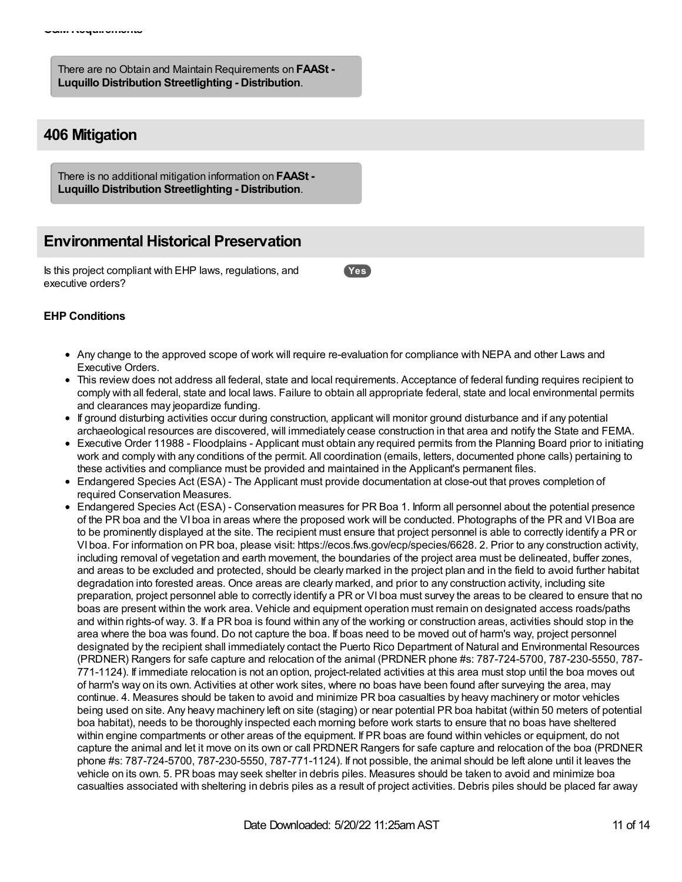There are no Obtain and Maintain Requirements on **FAASt - Luquillo Distribution Streetlighting - Distribution**.

# **406 Mitigation**

There is no additional mitigation information on **FAASt - Luquillo Distribution Streetlighting - Distribution**.

# **Environmental Historical Preservation**

Is this project compliant with EHP laws, regulations, and executive orders?

**Yes**

## **EHP Conditions**

- Any change to the approved scope of work will require re-evaluation for compliance with NEPA and other Laws and Executive Orders.
- This review does not address all federal, state and local requirements. Acceptance of federal funding requires recipient to comply with all federal, state and local laws. Failure to obtain all appropriate federal, state and local environmental permits and clearances may jeopardize funding.
- If ground disturbing activities occur during construction, applicant will monitor ground disturbance and if any potential archaeological resources are discovered, will immediately cease construction in that area and notify the State and FEMA.
- Executive Order 11988 Floodplains Applicant must obtain any required permits from the Planning Board prior to initiating work and comply with any conditions of the permit. All coordination (emails, letters, documented phone calls) pertaining to these activities and compliance must be provided and maintained in the Applicant's permanent files.
- Endangered Species Act (ESA) The Applicant must provide documentation at close-out that proves completion of required Conservation Measures.
- Endangered Species Act (ESA) Conservation measures for PR Boa 1. Inform all personnel about the potential presence of the PR boa and the VI boa in areas where the proposed work will be conducted. Photographs of the PR and VIBoa are to be prominently displayed at the site. The recipient must ensure that project personnel is able to correctly identify a PR or VI boa. For information on PR boa, please visit: https://ecos.fws.gov/ecp/species/6628. 2. Prior to any construction activity, including removal of vegetation and earth movement, the boundaries of the project area must be delineated, buffer zones, and areas to be excluded and protected, should be clearly marked in the project plan and in the field to avoid further habitat degradation into forested areas. Once areas are clearly marked, and prior to any construction activity, including site preparation, project personnel able to correctly identify a PR or VI boa must survey the areas to be cleared to ensure that no boas are present within the work area. Vehicle and equipment operation must remain on designated access roads/paths and within rights-of way. 3. If a PR boa is found within any of the working or construction areas, activities should stop in the area where the boa was found. Do not capture the boa. If boas need to be moved out of harm's way, project personnel designated by the recipient shall immediately contact the Puerto Rico Department of Natural and Environmental Resources (PRDNER) Rangers for safe capture and relocation of the animal (PRDNER phone #s: 787-724-5700, 787-230-5550, 787- 771-1124). If immediate relocation is not an option, project-related activities at this area must stop until the boa moves out of harm's way on its own. Activities at other work sites, where no boas have been found after surveying the area, may continue. 4. Measures should be taken to avoid and minimize PR boa casualties by heavy machinery or motor vehicles being used on site. Any heavy machinery left on site (staging) or near potential PR boa habitat (within 50 meters of potential boa habitat), needs to be thoroughly inspected each morning before work starts to ensure that no boas have sheltered within engine compartments or other areas of the equipment. If PR boas are found within vehicles or equipment, do not capture the animal and let it move on its own or call PRDNER Rangers for safe capture and relocation of the boa (PRDNER phone #s: 787-724-5700, 787-230-5550, 787-771-1124). If not possible, the animal should be left alone until it leaves the vehicle on its own. 5. PR boas may seek shelter in debris piles. Measures should be taken to avoid and minimize boa casualties associated with sheltering in debris piles as a result of project activities. Debris piles should be placed far away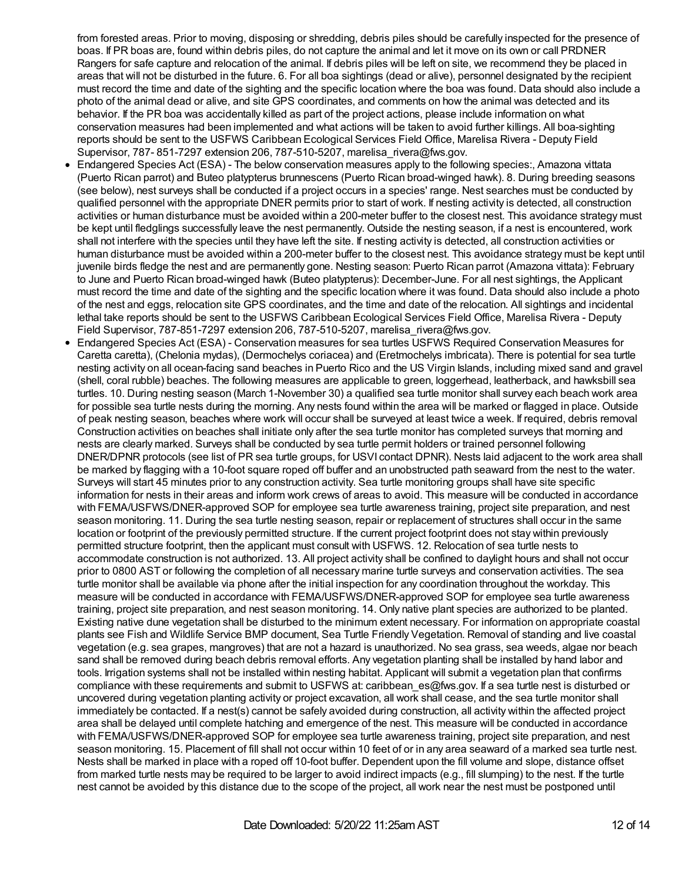from forested areas. Prior to moving, disposing or shredding, debris piles should be carefully inspected for the presence of boas. If PR boas are, found within debris piles, do not capture the animal and let it move on its own or call PRDNER Rangers for safe capture and relocation of the animal. If debris piles will be left on site, we recommend they be placed in areas that will not be disturbed in the future. 6. For all boa sightings (dead or alive), personnel designated by the recipient must record the time and date of the sighting and the specific location where the boa was found. Data should also include a photo of the animal dead or alive, and site GPS coordinates, and comments on how the animal was detected and its behavior. If the PR boa was accidentally killed as part of the project actions, please include information on what conservation measures had been implemented and what actions will be taken to avoid further killings. All boa-sighting reports should be sent to the USFWS Caribbean Ecological Services Field Office, Marelisa Rivera - Deputy Field Supervisor, 787- 851-7297 extension 206, 787-510-5207, marelisa\_rivera@fws.gov.

- Endangered Species Act (ESA) The below conservation measures apply to the following species:, Amazona vittata (Puerto Rican parrot) and Buteo platypterus brunnescens (Puerto Rican broad-winged hawk). 8. During breeding seasons (see below), nest surveys shall be conducted if a project occurs in a species' range. Nest searches must be conducted by qualified personnel with the appropriate DNER permits prior to start of work. If nesting activity is detected, all construction activities or human disturbance must be avoided within a 200-meter buffer to the closest nest. This avoidance strategy must be kept until fledglings successfully leave the nest permanently. Outside the nesting season, if a nest is encountered, work shall not interfere with the species until they have left the site. If nesting activity is detected, all construction activities or human disturbance must be avoided within a 200-meter buffer to the closest nest. This avoidance strategy must be kept until juvenile birds fledge the nest and are permanently gone. Nesting season: Puerto Rican parrot (Amazona vittata): February to June and Puerto Rican broad-winged hawk (Buteo platypterus): December-June. For all nest sightings, the Applicant must record the time and date of the sighting and the specific location where it was found. Data should also include a photo of the nest and eggs, relocation site GPS coordinates, and the time and date of the relocation. All sightings and incidental lethal take reports should be sent to the USFWS Caribbean Ecological Services Field Office, Marelisa Rivera - Deputy Field Supervisor, 787-851-7297 extension 206, 787-510-5207, marelisa rivera@fws.gov.
- Endangered Species Act (ESA) Conservation measures for sea turtles USFWS Required Conservation Measures for Caretta caretta), (Chelonia mydas), (Dermochelys coriacea) and (Eretmochelys imbricata). There is potential for sea turtle nesting activity on all ocean-facing sand beaches in Puerto Rico and the US Virgin Islands, including mixed sand and gravel (shell, coral rubble) beaches. The following measures are applicable to green, loggerhead, leatherback, and hawksbill sea turtles. 10. During nesting season (March 1-November 30) a qualified sea turtle monitor shall survey each beach work area for possible sea turtle nests during the morning. Any nests found within the area will be marked or flagged in place. Outside of peak nesting season, beaches where work will occur shall be surveyed at least twice a week. If required, debris removal Construction activities on beaches shall initiate only after the sea turtle monitor has completed surveys that morning and nests are clearly marked. Surveys shall be conducted by sea turtle permit holders or trained personnel following DNER/DPNR protocols (see list of PR sea turtle groups, for USVI contact DPNR). Nests laid adjacent to the work area shall be marked by flagging with a 10-foot square roped off buffer and an unobstructed path seaward from the nest to the water. Surveys will start 45 minutes prior to any construction activity. Sea turtle monitoring groups shall have site specific information for nests in their areas and inform work crews of areas to avoid. This measure will be conducted in accordance with FEMA/USFWS/DNER-approved SOP for employee sea turtle awareness training, project site preparation, and nest season monitoring. 11. During the sea turtle nesting season, repair or replacement of structures shall occur in the same location or footprint of the previously permitted structure. If the current project footprint does not stay within previously permitted structure footprint, then the applicant must consult with USFWS. 12. Relocation of sea turtle nests to accommodate construction is not authorized. 13. All project activity shall be confined to daylight hours and shall not occur prior to 0800 AST or following the completion of all necessary marine turtle surveys and conservation activities. The sea turtle monitor shall be available via phone after the initial inspection for any coordination throughout the workday. This measure will be conducted in accordance with FEMA/USFWS/DNER-approved SOP for employee sea turtle awareness training, project site preparation, and nest season monitoring. 14. Only native plant species are authorized to be planted. Existing native dune vegetation shall be disturbed to the minimum extent necessary. For information on appropriate coastal plants see Fish and Wildlife Service BMP document, Sea Turtle Friendly Vegetation. Removal of standing and live coastal vegetation (e.g. sea grapes, mangroves) that are not a hazard is unauthorized. No sea grass, sea weeds, algae nor beach sand shall be removed during beach debris removal efforts. Any vegetation planting shall be installed by hand labor and tools. Irrigation systems shall not be installed within nesting habitat. Applicant will submit a vegetation plan that confirms compliance with these requirements and submit to USFWS at: caribbean\_es@fws.gov. If a sea turtle nest is disturbed or uncovered during vegetation planting activity or project excavation, all work shall cease, and the sea turtle monitor shall immediately be contacted. If a nest(s) cannot be safely avoided during construction, all activity within the affected project area shall be delayed until complete hatching and emergence of the nest. This measure will be conducted in accordance with FEMA/USFWS/DNER-approved SOP for employee sea turtle awareness training, project site preparation, and nest season monitoring. 15. Placement of fill shall not occur within 10 feet of or in any area seaward of a marked sea turtle nest. Nests shall be marked in place with a roped off 10-foot buffer. Dependent upon the fill volume and slope, distance offset from marked turtle nests may be required to be larger to avoid indirect impacts (e.g., fill slumping) to the nest. If the turtle nest cannot be avoided by this distance due to the scope of the project, all work near the nest must be postponed until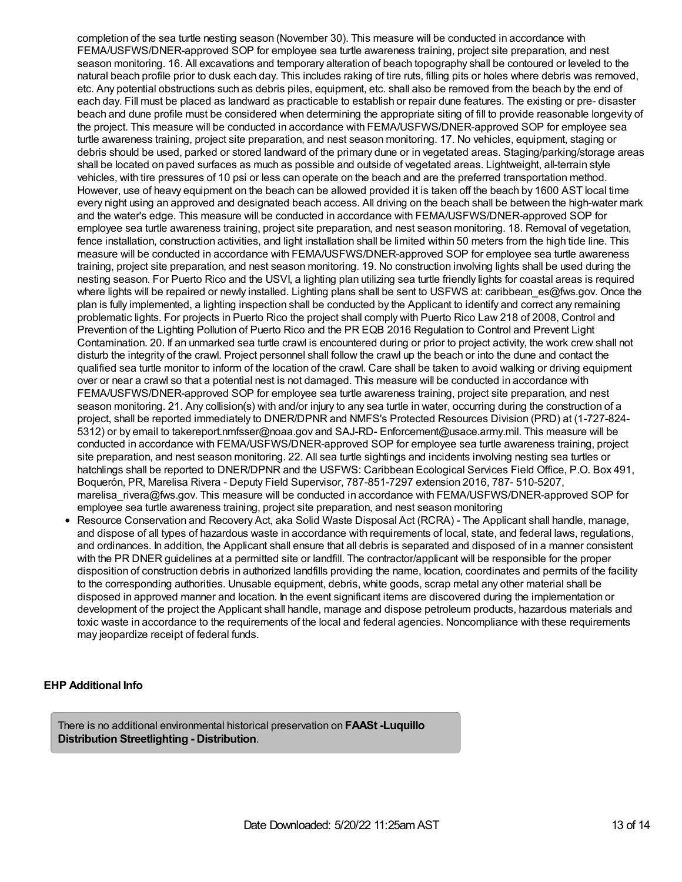completion of the sea turtle nesting season (November 30). This measure will be conducted in accordance with FEMA/USFWS/DNER-approved SOP for employee sea turtle awareness training, project site preparation, and nest season monitoring. 16. All excavations and temporary alteration of beach topography shall be contoured or leveled to the natural beach profile prior to dusk each day. This includes raking of tire ruts, filling pits or holes where debris was removed, etc. Any potential obstructions such as debris piles, equipment, etc. shall also be removed from the beach by the end of each day. Fill must be placed as landward as practicable to establish or repair dune features. The existing or pre- disaster beach and dune profile must be considered when determining the appropriate siting of fill to provide reasonable longevity of the project. This measure will be conducted in accordance with FEMA/USFWS/DNER-approved SOP for employee sea turtle awareness training, project site preparation, and nest season monitoring. 17. No vehicles, equipment, staging or debris should be used, parked or stored landward of the primary dune or in vegetated areas. Staging/parking/storage areas shall be located on paved surfaces as much as possible and outside of vegetated areas. Lightweight, all-terrain style vehicles, with tire pressures of 10 psi or less can operate on the beach and are the preferred transportation method. However, use of heavy equipment on the beach can be allowed provided it is taken off the beach by 1600 AST local time every night using an approved and designated beach access. All driving on the beach shall be between the high-water mark and the water's edge. This measure will be conducted in accordance with FEMA/USFWS/DNER-approved SOP for employee sea turtle awareness training, project site preparation, and nest season monitoring. 18. Removal of vegetation, fence installation, construction activities, and light installation shall be limited within 50 meters from the high tide line. This measure will be conducted in accordance with FEMA/USFWS/DNER-approved SOP for employee sea turtle awareness training, project site preparation, and nest season monitoring. 19. No construction involving lights shall be used during the nesting season. For Puerto Rico and the USVI, a lighting plan utilizing sea turtle friendly lights for coastal areas is required where lights will be repaired or newly installed. Lighting plans shall be sent to USFWS at: caribbean\_es@fws.gov. Once the plan is fully implemented, a lighting inspection shall be conducted by the Applicant to identify and correct any remaining problematic lights. For projects in Puerto Rico the project shall comply with Puerto Rico Law 218 of 2008, Control and Prevention of the Lighting Pollution of Puerto Rico and the PR EQB 2016 Regulation to Control and Prevent Light Contamination. 20. If an unmarked sea turtle crawl is encountered during or prior to project activity, the work crew shall not disturb the integrity of the crawl. Project personnel shall follow the crawl up the beach or into the dune and contact the qualified sea turtle monitor to inform of the location of the crawl. Care shall be taken to avoid walking or driving equipment over or near a crawl so that a potential nest is not damaged. This measure will be conducted in accordance with FEMA/USFWS/DNER-approved SOP for employee sea turtle awareness training, project site preparation, and nest season monitoring. 21. Any collision(s) with and/or injury to any sea turtle in water, occurring during the construction of a project, shall be reported immediately to DNER/DPNR and NMFS's Protected Resources Division (PRD) at (1-727-824- 5312) or by email to takereport.nmfsser@noaa.gov and SAJ-RD- Enforcement@usace.army.mil. This measure will be conducted in accordance with FEMA/USFWS/DNER-approved SOP for employee sea turtle awareness training, project site preparation, and nest season monitoring. 22. All sea turtle sightings and incidents involving nesting sea turtles or hatchlings shall be reported to DNER/DPNR and the USFWS: Caribbean Ecological Services Field Office, P.O. Box 491, Boquerón, PR, Marelisa Rivera - Deputy Field Supervisor, 787-851-7297 extension 2016, 787- 510-5207, marelisa\_rivera@fws.gov. This measure will be conducted in accordance with FEMA/USFWS/DNER-approved SOP for employee sea turtle awareness training, project site preparation, and nest season monitoring

Resource Conservation and Recovery Act, aka Solid Waste Disposal Act (RCRA) - The Applicant shall handle, manage, and dispose of all types of hazardous waste in accordance with requirements of local, state, and federal laws, regulations, and ordinances. In addition, the Applicant shall ensure that all debris is separated and disposed of in a manner consistent with the PR DNER guidelines at a permitted site or landfill. The contractor/applicant will be responsible for the proper disposition of construction debris in authorized landfills providing the name, location, coordinates and permits of the facility to the corresponding authorities. Unusable equipment, debris, white goods, scrap metal any other material shall be disposed in approved manner and location. In the event significant items are discovered during the implementation or development of the project the Applicant shall handle, manage and dispose petroleum products, hazardous materials and toxic waste in accordance to the requirements of the local and federal agencies. Noncompliance with these requirements may jeopardize receipt of federal funds.

## **EHP Additional Info**

There is no additional environmental historical preservation on **FAASt -Luquillo Distribution Streetlighting - Distribution**.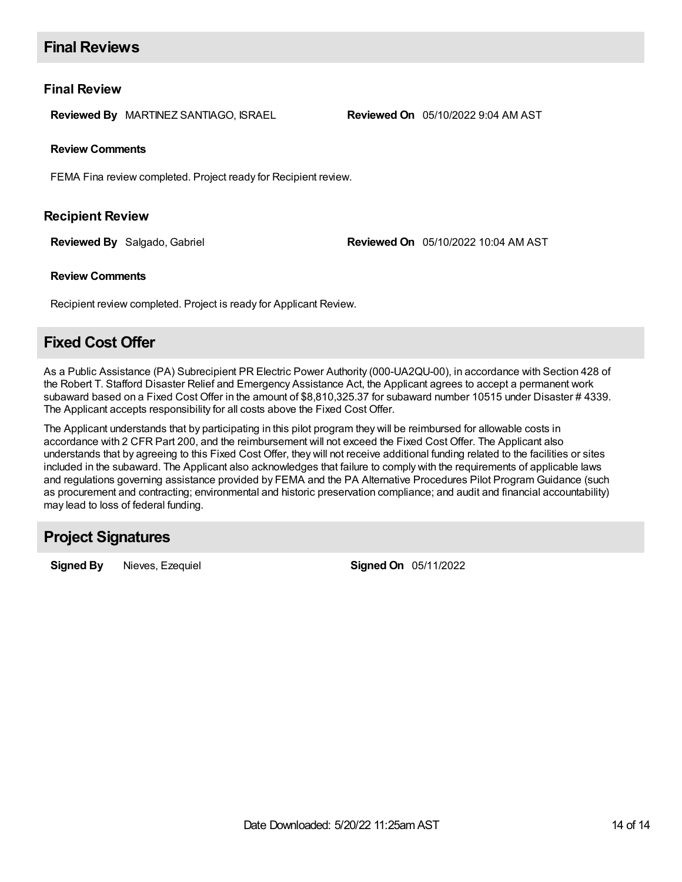# **Final Reviews**

## **Final Review**

**Reviewed By** MARTINEZ SANTIAGO, ISRAEL **Reviewed On** 05/10/2022 9:04 AM AST

## **Review Comments**

FEMA Fina review completed. Project ready for Recipient review.

## **Recipient Review**

**Reviewed By** Salgado, Gabriel **Reviewed On** 05/10/2022 10:04 AM AST

## **Review Comments**

Recipient review completed. Project is ready for Applicant Review.

# **Fixed Cost Offer**

As a Public Assistance (PA) Subrecipient PR Electric Power Authority (000-UA2QU-00), in accordance with Section 428 of the Robert T. Stafford Disaster Relief and Emergency Assistance Act, the Applicant agrees to accept a permanent work subaward based on a Fixed Cost Offer in the amount of \$8,810,325.37 for subaward number 10515 under Disaster # 4339. The Applicant accepts responsibility for all costs above the Fixed Cost Offer.

The Applicant understands that by participating in this pilot program they will be reimbursed for allowable costs in accordance with 2 CFR Part 200, and the reimbursement will not exceed the Fixed Cost Offer. The Applicant also understands that by agreeing to this Fixed Cost Offer, they will not receive additional funding related to the facilities or sites included in the subaward. The Applicant also acknowledges that failure to comply with the requirements of applicable laws and regulations governing assistance provided by FEMA and the PA Alternative Procedures Pilot Program Guidance (such as procurement and contracting; environmental and historic preservation compliance; and audit and financial accountability) may lead to loss of federal funding.

# **Project Signatures**

**Signed By** Nieves, Ezequiel **Signed On** 05/11/2022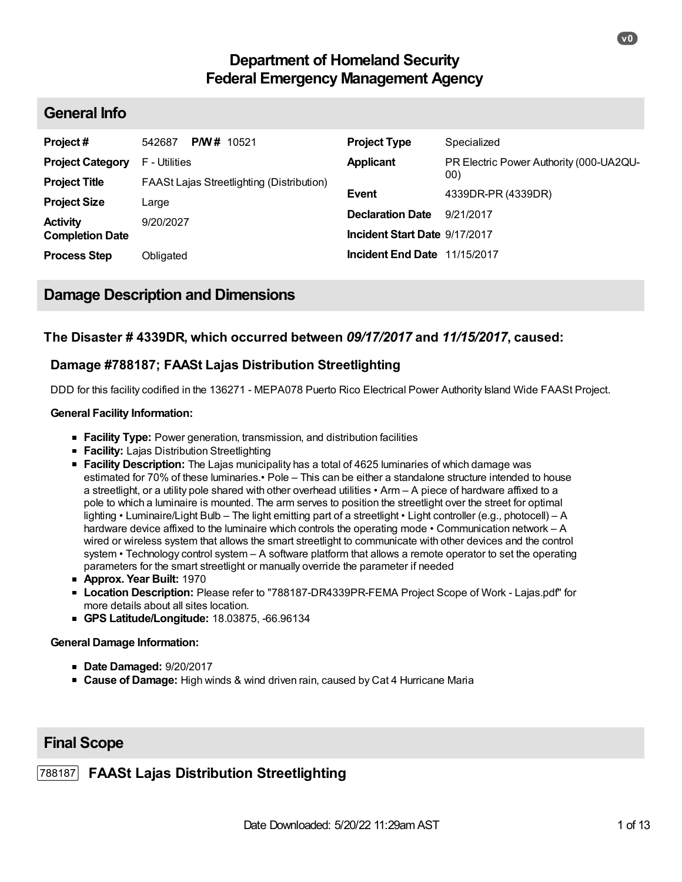# **Department of Homeland Security Federal Emergency Management Agency**

## **General Info**

| Project#                                  | <b>PM#</b> 10521<br>542687                | <b>Project Type</b>           | Specialized                             |
|-------------------------------------------|-------------------------------------------|-------------------------------|-----------------------------------------|
| <b>Project Category</b>                   | F - Utilities                             | <b>Applicant</b>              | PR Electric Power Authority (000-UA2QU- |
| <b>Project Title</b>                      | FAASt Lajas Streetlighting (Distribution) | <b>Event</b>                  | 00)<br>4339DR-PR (4339DR)               |
| <b>Project Size</b>                       | ∟arge                                     | <b>Declaration Date</b>       | 9/21/2017                               |
| <b>Activity</b><br><b>Completion Date</b> | 9/20/2027                                 | Incident Start Date 9/17/2017 |                                         |
| <b>Process Step</b>                       | Obligated                                 | Incident End Date 11/15/2017  |                                         |

## **Damage Description and Dimensions**

## **The Disaster # 4339DR, which occurred between** *09/17/2017* **and** *11/15/2017***, caused:**

## **Damage #788187; FAASt Lajas Distribution Streetlighting**

DDD for this facility codified in the 136271 - MEPA078 Puerto Rico Electrical Power Authority Island Wide FAASt Project.

## **General Facility Information:**

- **Facility Type:** Power generation, transmission, and distribution facilities
- **Facility:** Lajas Distribution Streetlighting
- **Facility Description:** The Lajas municipality has a total of 4625 luminaries of which damage was estimated for 70% of these luminaries.• Pole – This can be either a standalone structure intended to house a streetlight, or a utility pole shared with other overhead utilities • Arm – A piece of hardware affixed to a pole to which a luminaire is mounted. The arm serves to position the streetlight over the street for optimal lighting • Luminaire/Light Bulb – The light emitting part of a streetlight • Light controller (e.g., photocell) – A hardware device affixed to the luminaire which controls the operating mode • Communication network – A wired or wireless system that allows the smart streetlight to communicate with other devices and the control system • Technology control system – A software platform that allows a remote operator to set the operating parameters for the smart streetlight or manually override the parameter if needed
- **Approx. Year Built:** 1970
- **Location Description:** Please refer to "788187-DR4339PR-FEMA Project Scope of Work Lajas.pdf" for more details about all sites location.
- **GPS Latitude/Longitude:** 18.03875, -66.96134

## **General Damage Information:**

- **Date Damaged:** 9/20/2017
- **Cause of Damage:** High winds & wind driven rain, caused by Cat 4 Hurricane Maria

## **Final Scope**

## 788187 **FAASt Lajas Distribution Streetlighting**

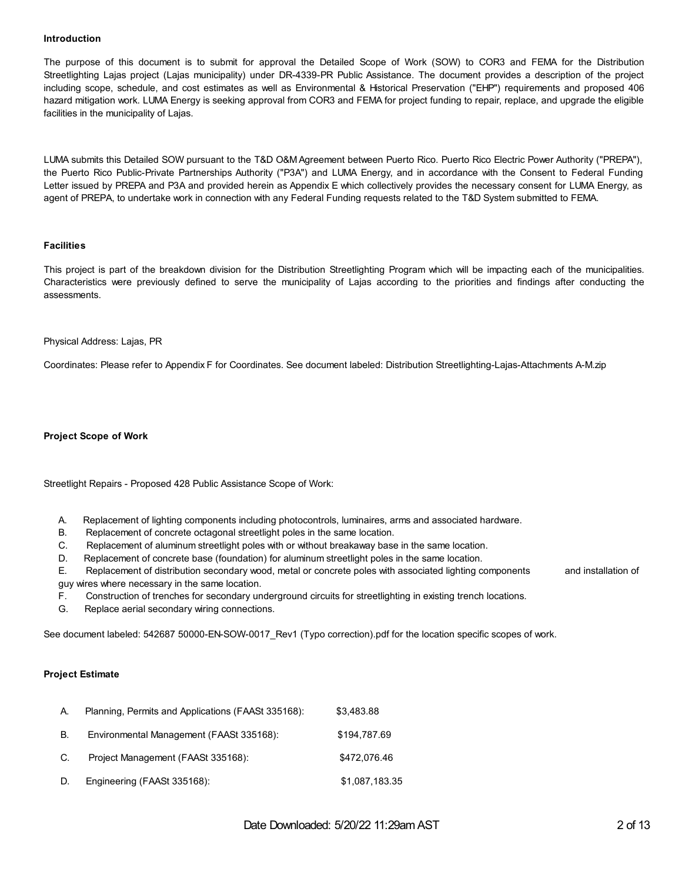#### **Introduction**

The purpose of this document is to submit for approval the Detailed Scope of Work (SOW) to COR3 and FEMA for the Distribution Streetlighting Lajas project (Lajas municipality) under DR-4339-PR Public Assistance. The document provides a description of the project including scope, schedule, and cost estimates as well as Environmental & Historical Preservation ("EHP") requirements and proposed 406 hazard mitigation work. LUMA Energy is seeking approval from COR3 and FEMA for project funding to repair, replace, and upgrade the eligible facilities in the municipality of Lajas.

LUMA submits this Detailed SOW pursuant to the T&D O&M Agreement between Puerto Rico. Puerto Rico Electric Power Authority ("PREPA"), the Puerto Rico Public-Private Partnerships Authority ("P3A") and LUMA Energy, and in accordance with the Consent to Federal Funding Letter issued by PREPA and P3A and provided herein as Appendix E which collectively provides the necessary consent for LUMA Energy, as agent of PREPA, to undertake work in connection with any Federal Funding requests related to the T&D System submitted to FEMA.

### **Facilities**

This project is part of the breakdown division for the Distribution Streetlighting Program which will be impacting each of the municipalities. Characteristics were previously defined to serve the municipality of Lajas according to the priorities and findings after conducting the assessments.

#### Physical Address: Lajas, PR

Coordinates: Please refer to Appendix F for Coordinates. See document labeled: Distribution Streetlighting-Lajas-Attachments A-M.zip

#### **Project Scope of Work**

Streetlight Repairs - Proposed 428 Public Assistance Scope of Work:

- A. Replacement of lighting components including photocontrols, luminaires, arms and associated hardware.
- B. Replacement of concrete octagonal streetlight poles in the same location.
- C. Replacement of aluminum streetlight poles with or without breakaway base in the same location.
- D. Replacement of concrete base (foundation) for aluminum streetlight poles in the same location.

E. Replacement of distribution secondary wood, metal or concrete poles with associated lighting components and installation of guy wires where necessary in the same location.

F. Construction of trenches for secondary underground circuits for streetlighting in existing trench locations.

G. Replace aerial secondary wiring connections.

See document labeled: 542687 50000-EN-SOW-0017\_Rev1 (Typo correction).pdf for the location specific scopes of work.

#### **Project Estimate**

| А. | Planning, Permits and Applications (FAASt 335168): | \$3,483.88     |
|----|----------------------------------------------------|----------------|
| В. | Environmental Management (FAASt 335168):           | \$194,787.69   |
| C. | Project Management (FAASt 335168):                 | \$472,076.46   |
| D. | Engineering (FAASt 335168):                        | \$1,087,183.35 |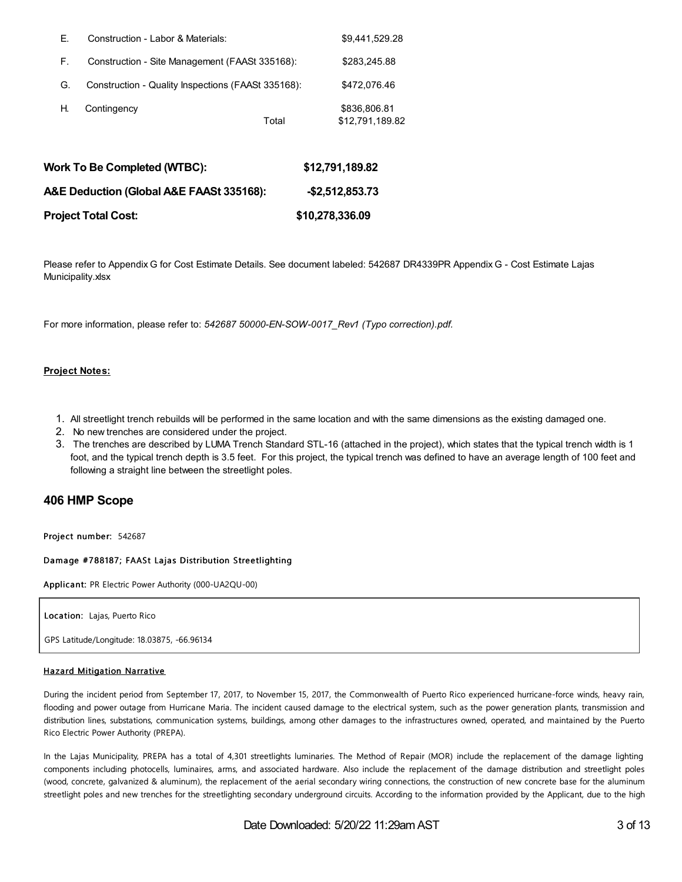| Е. | Construction - Labor & Materials:                  |       | \$9,441,529.28                  |
|----|----------------------------------------------------|-------|---------------------------------|
| F. | Construction - Site Management (FAASt 335168):     |       | \$283,245.88                    |
| G. | Construction - Quality Inspections (FAASt 335168): |       | \$472,076.46                    |
| Η. | Contingency                                        | Total | \$836,806.81<br>\$12,791,189.82 |

| Work To Be Completed (WTBC):             | \$12,791,189.82 |
|------------------------------------------|-----------------|
| A&E Deduction (Global A&E FAASt 335168): | -\$2.512.853.73 |
| Project Total Cost:                      | \$10,278,336.09 |

Please refer to Appendix G for Cost Estimate Details. See document labeled: 542687 DR4339PR Appendix G - Cost Estimate Lajas Municipality.xlsx

For more information, please refer to: *542687 50000-EN-SOW-0017\_Rev1 (Typo correction).pdf.*

### **Project Notes:**

- 1. All streetlight trench rebuilds will be performed in the same location and with the same dimensions as the existing damaged one.
- 2. No new trenches are considered under the project.
- 3. The trenches are described by LUMA Trench Standard STL-16 (attached in the project), which states that the typical trench width is 1 foot, and the typical trench depth is 3.5 feet. For this project, the typical trench was defined to have an average length of 100 feet and following a straight line between the streetlight poles.

## **406 HMP Scope**

Project number: 542687

#### Damage #788187; FAASt Lajas Distribution Streetlighting

Applica nt: PR Electric Power Authority (000-UA2QU-00)

Location: Lajas, Puerto Rico

GPS Latitude/Longitude: 18.03875, -66.96134

#### Hazard Mitigation Narrative

During the incident period from September 17, 2017, to November 15, 2017, the Commonwealth of Puerto Rico experienced hurricane-force winds, heavy rain, flooding and power outage from Hurricane Maria. The incident caused damage to the electrical system, such as the power generation plants, transmission and distribution lines, substations, communication systems, buildings, among other damages to the infrastructures owned, operated, and maintained by the Puerto Rico Electric Power Authority (PREPA).

In the Lajas Municipality, PREPA has a total of 4,301 streetlights luminaries. The Method of Repair (MOR) include the replacement of the damage lighting components including photocells, luminaires, arms, and associated hardware. Also include the replacement of the damage distribution and streetlight poles (wood, concrete, galvanized & aluminum), the replacement of the aerial secondary wiring connections, the construction of new concrete base for the aluminum streetlight poles and new trenches for the streetlighting secondary underground circuits. According to the information provided by the Applicant, due to the high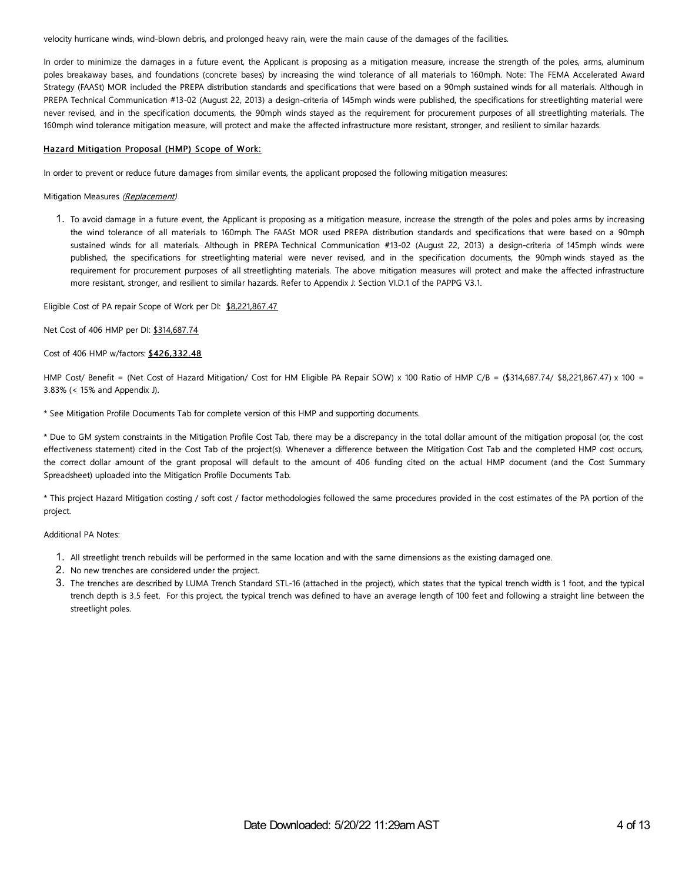velocity hurricane winds, wind-blown debris, and prolonged heavy rain, were the main cause of the damages of the facilities.

In order to minimize the damages in a future event, the Applicant is proposing as a mitigation measure, increase the strength of the poles, arms, aluminum poles breakaway bases, and foundations (concrete bases) by increasing the wind tolerance of all materials to 160mph. Note: The FEMA Accelerated Award Strategy (FAASt) MOR included the PREPA distribution standards and specifications that were based on a 90mph sustained winds for all materials. Although in PREPA Technical Communication #13-02 (August 22, 2013) a design-criteria of 145mph winds were published, the specifications for streetlighting material were never revised, and in the specification documents, the 90mph winds stayed as the requirement for procurement purposes of all streetlighting materials. The 160mph wind tolerance mitigation measure, will protect and make the affected infrastructure more resistant, stronger, and resilient to similar hazards.

#### Hazard Mitigation Proposal (HMP) Scope of Work:

In order to prevent or reduce future damages from similar events, the applicant proposed the following mitigation measures:

#### Mitigation Measures (Replacement)

1. To avoid damage in a future event, the Applicant is proposing as a mitigation measure, increase the strength of the poles and poles arms by increasing the wind tolerance of all materials to 160mph. The FAASt MOR used PREPA distribution standards and specifications that were based on a 90mph sustained winds for all materials. Although in PREPA Technical Communication #13-02 (August 22, 2013) a design-criteria of 145mph winds were published, the specifications for streetlighting material were never revised, and in the specification documents, the 90mph winds stayed as the requirement for procurement purposes of all streetlighting materials. The above mitigation measures will protect and make the affected infrastructure more resistant, stronger, and resilient to similar hazards. Refer to Appendix J: Section VI.D.1 of the PAPPG V3.1.

Eligible Cost of PA repair Scope of Work per DI: \$8,221,867.47

Net Cost of 406 HMP per DI: \$314,687.74

Cost of 406 HMP w/factors: \$426,332.48

HMP Cost/ Benefit = (Net Cost of Hazard Mitigation/ Cost for HM Eligible PA Repair SOW) x 100 Ratio of HMP C/B = (\$314,687.74/ \$8,221,867.47) x 100 = 3.83% (< 15% and Appendix J).

\* See Mitigation Profile Documents Tab for complete version of this HMP and supporting documents.

\* Due to GM system constraints in the Mitigation Profile Cost Tab, there may be a discrepancy in the total dollar amount of the mitigation proposal (or, the cost effectiveness statement) cited in the Cost Tab of the project(s). Whenever a difference between the Mitigation Cost Tab and the completed HMP cost occurs, the correct dollar amount of the grant proposal will default to the amount of 406 funding cited on the actual HMP document (and the Cost Summary Spreadsheet) uploaded into the Mitigation Profile Documents Tab.

\* This project Hazard Mitigation costing / soft cost / factor methodologies followed the same procedures provided in the cost estimates of the PA portion of the project.

Additional PA Notes:

- 1. All streetlight trench rebuilds will be performed in the same location and with the same dimensions as the existing damaged one.
- 2. No new trenches are considered under the project.
- 3. The trenches are described by LUMA Trench Standard STL-16 (attached in the project), which states that the typical trench width is 1 foot, and the typical trench depth is 3.5 feet. For this project, the typical trench was defined to have an average length of 100 feet and following a straight line between the streetlight poles.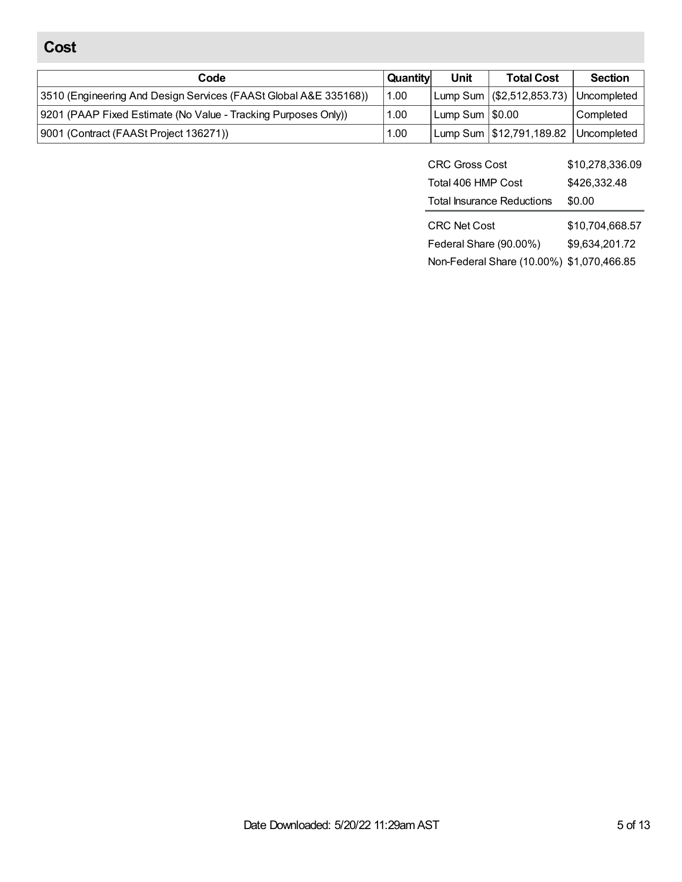# **Cost**

| Code                                                             | Quantity | Unit              | <b>Total Cost</b>                             | <b>Section</b> |
|------------------------------------------------------------------|----------|-------------------|-----------------------------------------------|----------------|
| 3510 (Engineering And Design Services (FAASt Global A&E 335168)) | 1.00     |                   | $\lfloor$ Lump Sum $\lfloor$ (\$2,512,853.73) | Uncompleted    |
| 9201 (PAAP Fixed Estimate (No Value - Tracking Purposes Only))   | 1.00     | Lump Sum   \$0.00 |                                               | Completed      |
| 9001 (Contract (FAASt Project 136271))                           | 1.00     |                   | Lump Sum   \$12,791,189.82                    | Uncompleted    |

| <b>CRC Gross Cost</b>             | \$10,278,336.09 |
|-----------------------------------|-----------------|
| Total 406 HMP Cost                | \$426,332.48    |
| <b>Total Insurance Reductions</b> | \$0.00          |
|                                   |                 |
| CRC Net Cost                      | \$10,704,668.57 |
| Federal Share (90.00%)            | \$9,634,201.72  |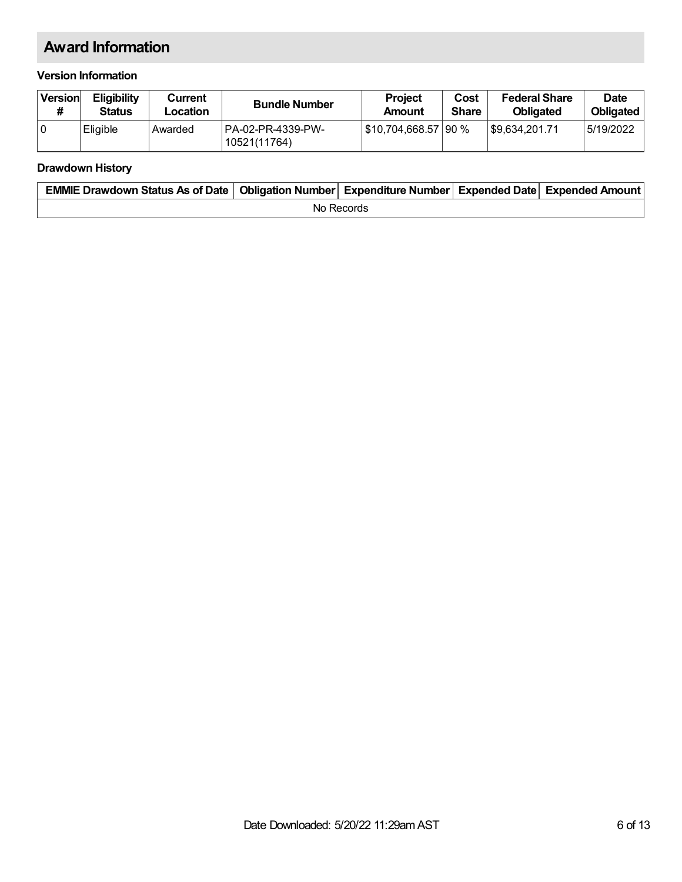# **Award Information**

## **Version Information**

| Version | <b>Eligibility</b><br><b>Status</b> | Current<br>Location | <b>Bundle Number</b>               | <b>Project</b><br>Amount | Cost<br><b>Share</b> | <b>Federal Share</b><br><b>Obligated</b> | <b>Date</b><br><b>Obligated</b> |
|---------|-------------------------------------|---------------------|------------------------------------|--------------------------|----------------------|------------------------------------------|---------------------------------|
| ١o      | Eligible                            | Awarded             | 1PA-02-PR-4339-PW-<br>10521(11764) | S10,704,668.57   90 %    |                      | 89.634.201.71                            | 5/19/2022                       |

## **Drawdown History**

| EMMIE Drawdown Status As of Date   Obligation Number   Expenditure Number   Expended Date   Expended Amount |  |  |  |  |  |  |
|-------------------------------------------------------------------------------------------------------------|--|--|--|--|--|--|
| No Records                                                                                                  |  |  |  |  |  |  |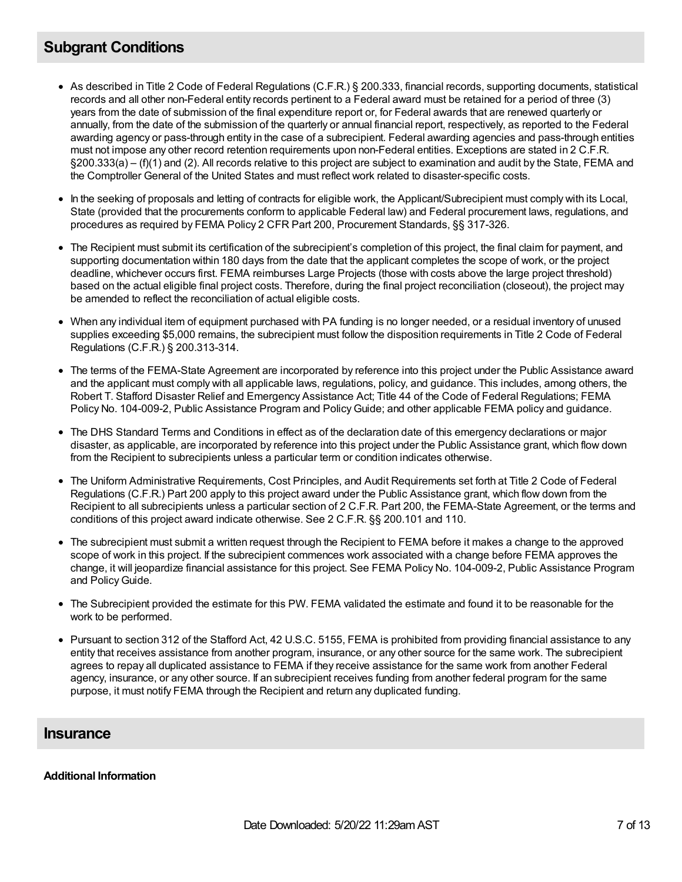# **Subgrant Conditions**

- As described in Title 2 Code of Federal Regulations (C.F.R.) § 200.333, financial records, supporting documents, statistical records and all other non-Federal entity records pertinent to a Federal award must be retained for a period of three (3) years from the date of submission of the final expenditure report or, for Federal awards that are renewed quarterly or annually, from the date of the submission of the quarterly or annual financial report, respectively, as reported to the Federal awarding agency or pass-through entity in the case of a subrecipient. Federal awarding agencies and pass-through entities must not impose any other record retention requirements upon non-Federal entities. Exceptions are stated in 2 C.F.R. §200.333(a) – (f)(1) and (2). All records relative to this project are subject to examination and audit by the State, FEMA and the Comptroller General of the United States and must reflect work related to disaster-specific costs.
- In the seeking of proposals and letting of contracts for eligible work, the Applicant/Subrecipient must comply with its Local, State (provided that the procurements conform to applicable Federal law) and Federal procurement laws, regulations, and procedures as required by FEMA Policy 2 CFR Part 200, Procurement Standards, §§ 317-326.
- The Recipient must submit its certification of the subrecipient's completion of this project, the final claim for payment, and supporting documentation within 180 days from the date that the applicant completes the scope of work, or the project deadline, whichever occurs first. FEMA reimburses Large Projects (those with costs above the large project threshold) based on the actual eligible final project costs. Therefore, during the final project reconciliation (closeout), the project may be amended to reflect the reconciliation of actual eligible costs.
- When any individual item of equipment purchased with PA funding is no longer needed, or a residual inventory of unused supplies exceeding \$5,000 remains, the subrecipient must follow the disposition requirements in Title 2 Code of Federal Regulations (C.F.R.) § 200.313-314.
- The terms of the FEMA-State Agreement are incorporated by reference into this project under the Public Assistance award and the applicant must comply with all applicable laws, regulations, policy, and guidance. This includes, among others, the Robert T. Stafford Disaster Relief and Emergency Assistance Act; Title 44 of the Code of Federal Regulations; FEMA Policy No. 104-009-2, Public Assistance Program and PolicyGuide; and other applicable FEMA policy and guidance.
- The DHS Standard Terms and Conditions in effect as of the declaration date of this emergency declarations or major disaster, as applicable, are incorporated by reference into this project under the Public Assistance grant, which flow down from the Recipient to subrecipients unless a particular term or condition indicates otherwise.
- The Uniform Administrative Requirements, Cost Principles, and Audit Requirements set forth at Title 2 Code of Federal Regulations (C.F.R.) Part 200 apply to this project award under the Public Assistance grant, which flow down from the Recipient to all subrecipients unless a particular section of 2 C.F.R. Part 200, the FEMA-State Agreement, or the terms and conditions of this project award indicate otherwise. See 2 C.F.R. §§ 200.101 and 110.
- The subrecipient must submit a written request through the Recipient to FEMA before it makes a change to the approved scope of work in this project. If the subrecipient commences work associated with a change before FEMA approves the change, it will jeopardize financial assistance for this project. See FEMA Policy No. 104-009-2, Public Assistance Program and Policy Guide.
- The Subrecipient provided the estimate for this PW. FEMA validated the estimate and found it to be reasonable for the work to be performed.
- Pursuant to section 312 of the Stafford Act, 42 U.S.C. 5155, FEMA is prohibited from providing financial assistance to any entity that receives assistance from another program, insurance, or any other source for the same work. The subrecipient agrees to repay all duplicated assistance to FEMA if they receive assistance for the same work from another Federal agency, insurance, or any other source. If an subrecipient receives funding from another federal program for the same purpose, it must notify FEMA through the Recipient and return any duplicated funding.

## **Insurance**

## **Additional Information**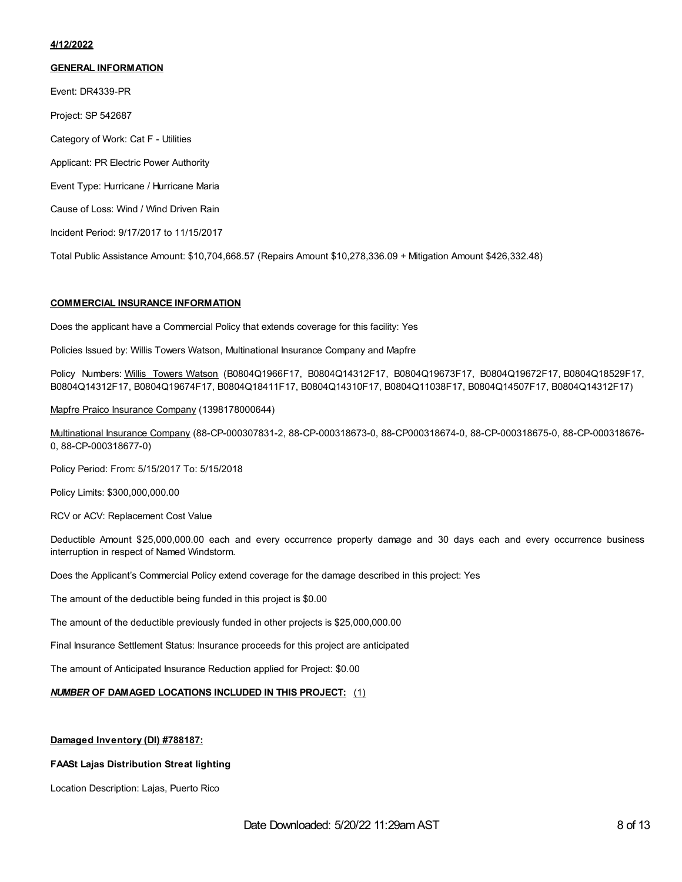#### **4/12/2022**

#### **GENERAL INFORMATION**

Event: DR4339-PR Project: SP 542687

Category of Work: Cat F - Utilities

Applicant: PR Electric Power Authority

Event Type: Hurricane / Hurricane Maria

Cause of Loss: Wind / Wind Driven Rain

Incident Period: 9/17/2017 to 11/15/2017

Total Public Assistance Amount: \$10,704,668.57 (Repairs Amount \$10,278,336.09 + Mitigation Amount \$426,332.48)

#### **COMMERCIAL INSURANCE INFORMATION**

Does the applicant have a Commercial Policy that extends coverage for this facility: Yes

Policies Issued by: Willis Towers Watson, Multinational Insurance Company and Mapfre

Policy Numbers: Willis Towers Watson (B0804Q1966F17, B0804Q14312F17, B0804Q19673F17, B0804Q19672F17, B0804Q18529F17, B0804Q14312F17, B0804Q19674F17, B0804Q18411F17, B0804Q14310F17, B0804Q11038F17, B0804Q14507F17, B0804Q14312F17)

Mapfre Praico Insurance Company (1398178000644)

Multinational Insurance Company (88-CP-000307831-2, 88-CP-000318673-0, 88-CP000318674-0, 88-CP-000318675-0, 88-CP-000318676- 0, 88-CP-000318677-0)

Policy Period: From: 5/15/2017 To: 5/15/2018

Policy Limits: \$300,000,000.00

RCV or ACV: Replacement Cost Value

Deductible Amount \$25,000,000.00 each and every occurrence property damage and 30 days each and every occurrence business interruption in respect of Named Windstorm.

Does the Applicant's Commercial Policy extend coverage for the damage described in this project: Yes

The amount of the deductible being funded in this project is \$0.00

The amount of the deductible previously funded in other projects is \$25,000,000.00

Final Insurance Settlement Status: Insurance proceeds for this project are anticipated

The amount of Anticipated Insurance Reduction applied for Project: \$0.00

### *NUMBER* **OF DAMAGED LOCATIONS INCLUDED IN THIS PROJECT:** (1)

#### **Damaged Inventory (DI) #788187:**

### **FAASt Lajas Distribution Streat lighting**

Location Description: Lajas, Puerto Rico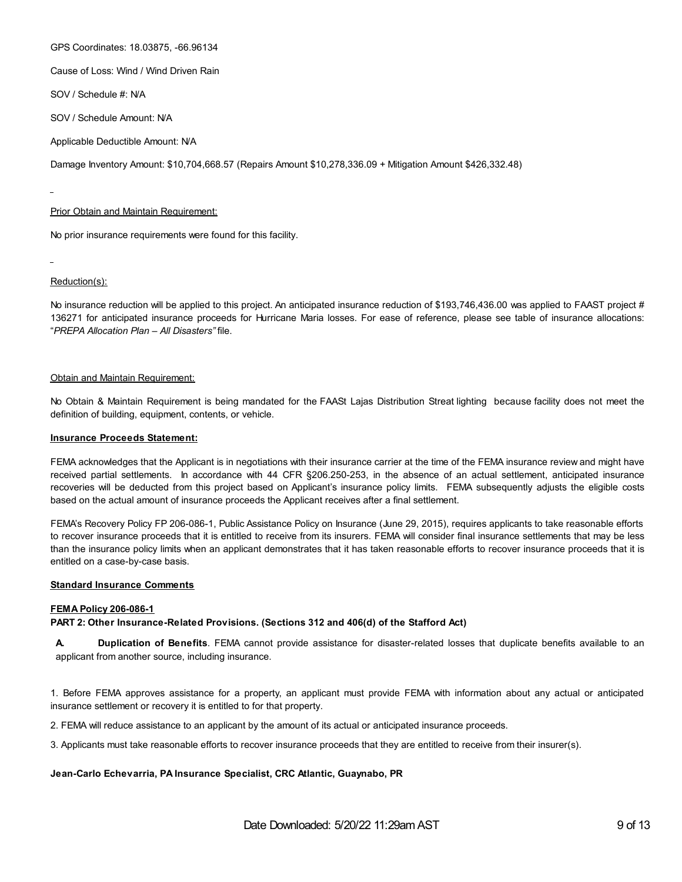GPS Coordinates: 18.03875, -66.96134

Cause of Loss: Wind / Wind Driven Rain

SOV / Schedule #: N/A

SOV / Schedule Amount: N/A

Applicable Deductible Amount: N/A

Damage Inventory Amount: \$10,704,668.57 (Repairs Amount \$10,278,336.09 + Mitigation Amount \$426,332.48)

#### Prior Obtain and Maintain Requirement:

No prior insurance requirements were found for this facility.

Reduction(s):

No insurance reduction will be applied to this project. An anticipated insurance reduction of \$193,746,436.00 was applied to FAAST project # 136271 for anticipated insurance proceeds for Hurricane Maria losses. For ease of reference, please see table of insurance allocations: "*PREPA Allocation Plan – All Disasters"* file.

#### Obtain and Maintain Requirement:

No Obtain & Maintain Requirement is being mandated for the FAASt Lajas Distribution Streat lighting because facility does not meet the definition of building, equipment, contents, or vehicle.

#### **Insurance Proceeds Statement:**

FEMA acknowledges that the Applicant is in negotiations with their insurance carrier at the time of the FEMA insurance review and might have received partial settlements. In accordance with 44 CFR §206.250-253, in the absence of an actual settlement, anticipated insurance recoveries will be deducted from this project based on Applicant's insurance policy limits. FEMA subsequently adjusts the eligible costs based on the actual amount of insurance proceeds the Applicant receives after a final settlement.

FEMA's Recovery Policy FP 206-086-1, Public Assistance Policy on Insurance (June 29, 2015), requires applicants to take reasonable efforts to recover insurance proceeds that it is entitled to receive from its insurers. FEMA will consider final insurance settlements that may be less than the insurance policy limits when an applicant demonstrates that it has taken reasonable efforts to recover insurance proceeds that it is entitled on a case-by-case basis.

#### **Standard Insurance Comments**

#### **FEMA Policy 206-086-1**

**PART 2: Other Insurance-Related Provisions. (Sections 312 and 406(d) of the Stafford Act)**

**A. Duplication of Benefits**. FEMA cannot provide assistance for disaster-related losses that duplicate benefits available to an applicant from another source, including insurance.

1. Before FEMA approves assistance for a property, an applicant must provide FEMA with information about any actual or anticipated insurance settlement or recovery it is entitled to for that property.

2. FEMA will reduce assistance to an applicant by the amount of its actual or anticipated insurance proceeds.

3. Applicants must take reasonable efforts to recover insurance proceeds that they are entitled to receive from their insurer(s).

#### **Jean-Carlo Echevarria, PA Insurance Specialist, CRC Atlantic, Guaynabo, PR**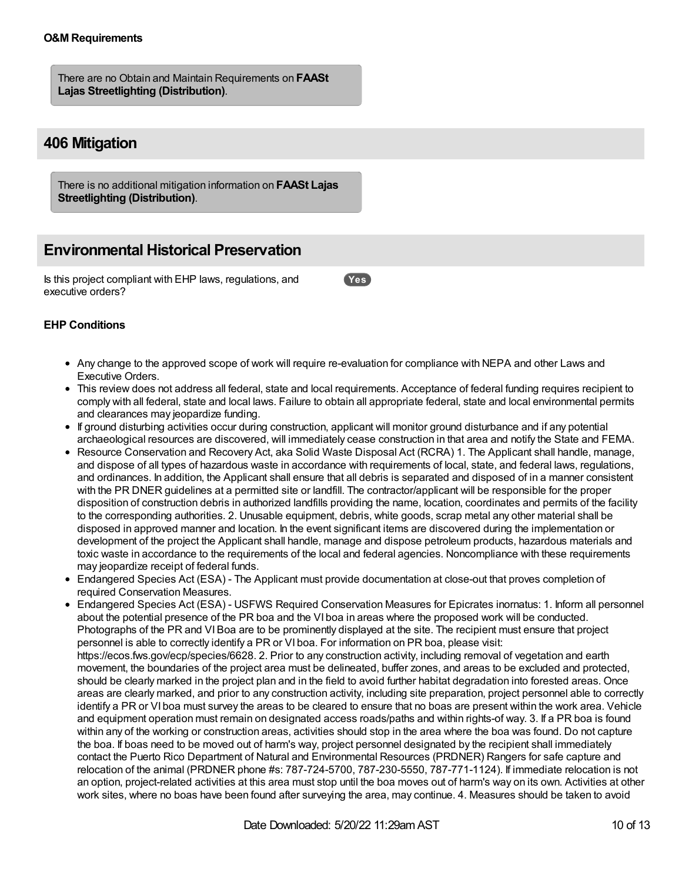## **O&M Requirements**

There are no Obtain and Maintain Requirements on **FAASt Lajas Streetlighting (Distribution)**.

# **406 Mitigation**

There is no additional mitigation information on **FAASt Lajas Streetlighting (Distribution)**.

# **Environmental Historical Preservation**

Is this project compliant with EHP laws, regulations, and executive orders?

**Yes**

## **EHP Conditions**

- Any change to the approved scope of work will require re-evaluation for compliance with NEPA and other Laws and Executive Orders.
- This review does not address all federal, state and local requirements. Acceptance of federal funding requires recipient to comply with all federal, state and local laws. Failure to obtain all appropriate federal, state and local environmental permits and clearances may jeopardize funding.
- If ground disturbing activities occur during construction, applicant will monitor ground disturbance and if any potential archaeological resources are discovered, will immediately cease construction in that area and notify the State and FEMA.
- Resource Conservation and Recovery Act, aka Solid Waste Disposal Act (RCRA) 1. The Applicant shall handle, manage, and dispose of all types of hazardous waste in accordance with requirements of local, state, and federal laws, regulations, and ordinances. In addition, the Applicant shall ensure that all debris is separated and disposed of in a manner consistent with the PR DNER guidelines at a permitted site or landfill. The contractor/applicant will be responsible for the proper disposition of construction debris in authorized landfills providing the name, location, coordinates and permits of the facility to the corresponding authorities. 2. Unusable equipment, debris, white goods, scrap metal any other material shall be disposed in approved manner and location. In the event significant items are discovered during the implementation or development of the project the Applicant shall handle, manage and dispose petroleum products, hazardous materials and toxic waste in accordance to the requirements of the local and federal agencies. Noncompliance with these requirements may jeopardize receipt of federal funds.
- Endangered Species Act (ESA) The Applicant must provide documentation at close-out that proves completion of required Conservation Measures.
- Endangered Species Act (ESA) USFWS Required Conservation Measures for Epicrates inornatus: 1. Inform all personnel about the potential presence of the PR boa and the VI boa in areas where the proposed work will be conducted. Photographs of the PR and VIBoa are to be prominently displayed at the site. The recipient must ensure that project personnel is able to correctly identify a PR or VI boa. For information on PR boa, please visit: https://ecos.fws.gov/ecp/species/6628. 2. Prior to any construction activity, including removal of vegetation and earth movement, the boundaries of the project area must be delineated, buffer zones, and areas to be excluded and protected, should be clearly marked in the project plan and in the field to avoid further habitat degradation into forested areas. Once areas are clearly marked, and prior to any construction activity, including site preparation, project personnel able to correctly identify a PR or VI boa must survey the areas to be cleared to ensure that no boas are present within the work area. Vehicle and equipment operation must remain on designated access roads/paths and within rights-of way. 3. If a PR boa is found within any of the working or construction areas, activities should stop in the area where the boa was found. Do not capture the boa. If boas need to be moved out of harm's way, project personnel designated by the recipient shall immediately contact the Puerto Rico Department of Natural and Environmental Resources (PRDNER) Rangers for safe capture and relocation of the animal (PRDNER phone #s: 787-724-5700, 787-230-5550, 787-771-1124). If immediate relocation is not an option, project-related activities at this area must stop until the boa moves out of harm's way on its own. Activities at other work sites, where no boas have been found after surveying the area, may continue. 4. Measures should be taken to avoid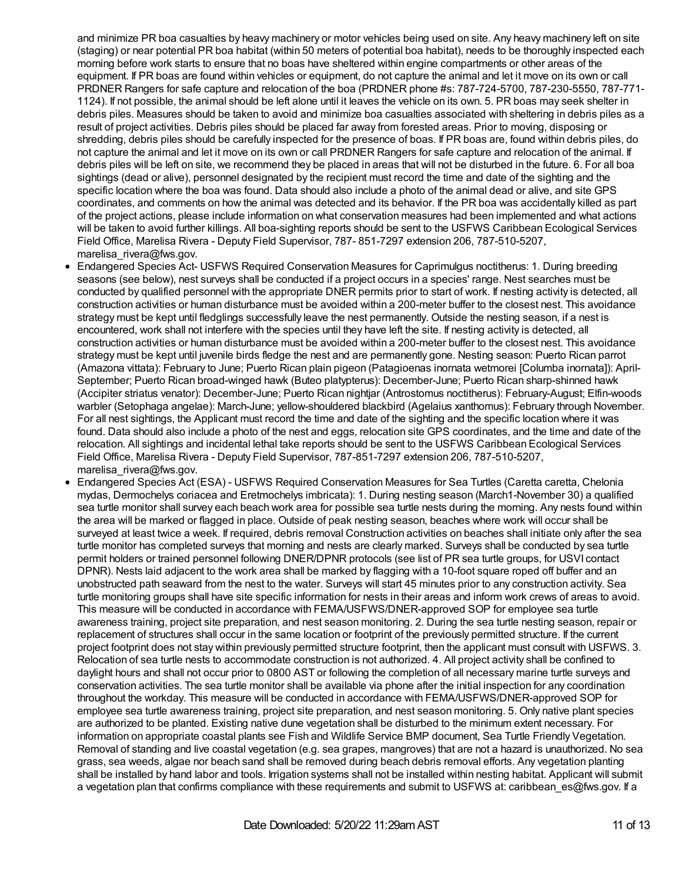and minimize PR boa casualties by heavy machinery or motor vehicles being used on site. Any heavy machinery left on site (staging) or near potential PR boa habitat (within 50 meters of potential boa habitat), needs to be thoroughly inspected each morning before work starts to ensure that no boas have sheltered within engine compartments or other areas of the equipment. If PR boas are found within vehicles or equipment, do not capture the animal and let it move on its own or call PRDNER Rangers for safe capture and relocation of the boa (PRDNER phone #s: 787-724-5700, 787-230-5550, 787-771- 1124). If not possible, the animal should be left alone until it leaves the vehicle on its own. 5. PR boas may seek shelter in debris piles. Measures should be taken to avoid and minimize boa casualties associated with sheltering in debris piles as a result of project activities. Debris piles should be placed far away from forested areas. Prior to moving, disposing or shredding, debris piles should be carefully inspected for the presence of boas. If PR boas are, found within debris piles, do not capture the animal and let it move on its own or call PRDNER Rangers for safe capture and relocation of the animal. If debris piles will be left on site, we recommend they be placed in areas that will not be disturbed in the future. 6. For all boa sightings (dead or alive), personnel designated by the recipient must record the time and date of the sighting and the specific location where the boa was found. Data should also include a photo of the animal dead or alive, and site GPS coordinates, and comments on how the animal was detected and its behavior. If the PR boa was accidentally killed as part of the project actions, please include information on what conservation measures had been implemented and what actions will be taken to avoid further killings. All boa-sighting reports should be sent to the USFWS Caribbean Ecological Services Field Office, Marelisa Rivera - Deputy Field Supervisor, 787- 851-7297 extension 206, 787-510-5207, marelisa rivera@fws.gov.

- Endangered Species Act- USFWS Required Conservation Measures for Caprimulgus noctitherus: 1. During breeding seasons (see below), nest surveys shall be conducted if a project occurs in a species' range. Nest searches must be conducted by qualified personnel with the appropriate DNER permits prior to start of work. If nesting activity is detected, all construction activities or human disturbance must be avoided within a 200-meter buffer to the closest nest. This avoidance strategy must be kept until fledglings successfully leave the nest permanently. Outside the nesting season, if a nest is encountered, work shall not interfere with the species until they have left the site. If nesting activity is detected, all construction activities or human disturbance must be avoided within a 200-meter buffer to the closest nest. This avoidance strategy must be kept until juvenile birds fledge the nest and are permanently gone. Nesting season: Puerto Rican parrot (Amazona vittata): February to June; Puerto Rican plain pigeon (Patagioenas inornata wetmorei [Columba inornata]): April-September; Puerto Rican broad-winged hawk (Buteo platypterus): December-June; Puerto Rican sharp-shinned hawk (Accipiter striatus venator): December-June; Puerto Rican nightjar (Antrostomus noctitherus): February-August; Elfin-woods warbler (Setophaga angelae): March-June; yellow-shouldered blackbird (Agelaius xanthomus): February through November. For all nest sightings, the Applicant must record the time and date of the sighting and the specific location where it was found. Data should also include a photo of the nest and eggs, relocation site GPS coordinates, and the time and date of the relocation. All sightings and incidental lethal take reports should be sent to the USFWS Caribbean Ecological Services Field Office, Marelisa Rivera - Deputy Field Supervisor, 787-851-7297 extension 206, 787-510-5207, marelisa rivera@fws.gov.
- Endangered Species Act (ESA) USFWS Required Conservation Measures for Sea Turtles (Caretta caretta, Chelonia mydas, Dermochelys coriacea and Eretmochelys imbricata): 1. During nesting season (March1-November 30) a qualified sea turtle monitor shall survey each beach work area for possible sea turtle nests during the morning. Any nests found within the area will be marked or flagged in place. Outside of peak nesting season, beaches where work will occur shall be surveyed at least twice a week. If required, debris removal Construction activities on beaches shall initiate only after the sea turtle monitor has completed surveys that morning and nests are clearly marked. Surveys shall be conducted by sea turtle permit holders or trained personnel following DNER/DPNR protocols (see list of PR sea turtle groups, for USVI contact DPNR). Nests laid adjacent to the work area shall be marked by flagging with a 10-foot square roped off buffer and an unobstructed path seaward from the nest to the water. Surveys will start 45 minutes prior to any construction activity. Sea turtle monitoring groups shall have site specific information for nests in their areas and inform work crews of areas to avoid. This measure will be conducted in accordance with FEMA/USFWS/DNER-approved SOP for employee sea turtle awareness training, project site preparation, and nest season monitoring. 2. During the sea turtle nesting season, repair or replacement of structures shall occur in the same location or footprint of the previously permitted structure. If the current project footprint does not stay within previously permitted structure footprint, then the applicant must consult with USFWS. 3. Relocation of sea turtle nests to accommodate construction is not authorized. 4. All project activity shall be confined to daylight hours and shall not occur prior to 0800 AST or following the completion of all necessary marine turtle surveys and conservation activities. The sea turtle monitor shall be available via phone after the initial inspection for any coordination throughout the workday. This measure will be conducted in accordance with FEMA/USFWS/DNER-approved SOP for employee sea turtle awareness training, project site preparation, and nest season monitoring. 5. Only native plant species are authorized to be planted. Existing native dune vegetation shall be disturbed to the minimum extent necessary. For information on appropriate coastal plants see Fish and Wildlife Service BMP document, Sea Turtle Friendly Vegetation. Removal of standing and live coastal vegetation (e.g. sea grapes, mangroves) that are not a hazard is unauthorized. No sea grass, sea weeds, algae nor beach sand shall be removed during beach debris removal efforts. Any vegetation planting shall be installed by hand labor and tools. Irrigation systems shall not be installed within nesting habitat. Applicant will submit a vegetation plan that confirms compliance with these requirements and submit to USFWS at: caribbean es@fws.gov. If a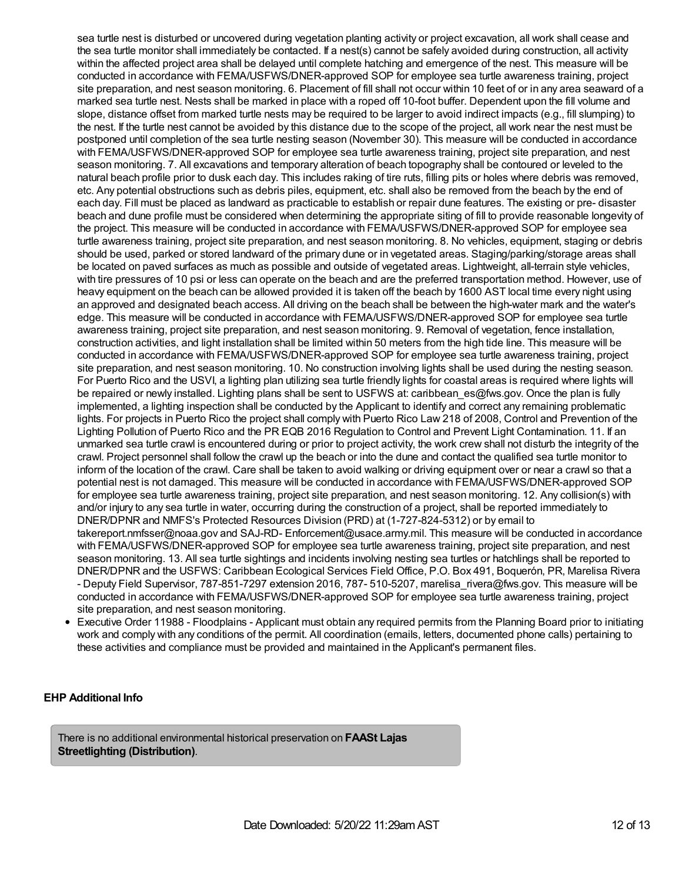sea turtle nest is disturbed or uncovered during vegetation planting activity or project excavation, all work shall cease and the sea turtle monitor shall immediately be contacted. If a nest(s) cannot be safely avoided during construction, all activity within the affected project area shall be delayed until complete hatching and emergence of the nest. This measure will be conducted in accordance with FEMA/USFWS/DNER-approved SOP for employee sea turtle awareness training, project site preparation, and nest season monitoring. 6. Placement of fill shall not occur within 10 feet of or in any area seaward of a marked sea turtle nest. Nests shall be marked in place with a roped off 10-foot buffer. Dependent upon the fill volume and slope, distance offset from marked turtle nests may be required to be larger to avoid indirect impacts (e.g., fill slumping) to the nest. If the turtle nest cannot be avoided by this distance due to the scope of the project, all work near the nest must be postponed until completion of the sea turtle nesting season (November 30). This measure will be conducted in accordance with FEMA/USFWS/DNER-approved SOP for employee sea turtle awareness training, project site preparation, and nest season monitoring. 7. All excavations and temporary alteration of beach topography shall be contoured or leveled to the natural beach profile prior to dusk each day. This includes raking of tire ruts, filling pits or holes where debris was removed, etc. Any potential obstructions such as debris piles, equipment, etc. shall also be removed from the beach by the end of each day. Fill must be placed as landward as practicable to establish or repair dune features. The existing or pre- disaster beach and dune profile must be considered when determining the appropriate siting of fill to provide reasonable longevity of the project. This measure will be conducted in accordance with FEMA/USFWS/DNER-approved SOP for employee sea turtle awareness training, project site preparation, and nest season monitoring. 8. No vehicles, equipment, staging or debris should be used, parked or stored landward of the primary dune or in vegetated areas. Staging/parking/storage areas shall be located on paved surfaces as much as possible and outside of vegetated areas. Lightweight, all-terrain style vehicles, with tire pressures of 10 psi or less can operate on the beach and are the preferred transportation method. However, use of heavy equipment on the beach can be allowed provided it is taken off the beach by 1600 AST local time every night using an approved and designated beach access. All driving on the beach shall be between the high-water mark and the water's edge. This measure will be conducted in accordance with FEMA/USFWS/DNER-approved SOP for employee sea turtle awareness training, project site preparation, and nest season monitoring. 9. Removal of vegetation, fence installation, construction activities, and light installation shall be limited within 50 meters from the high tide line. This measure will be conducted in accordance with FEMA/USFWS/DNER-approved SOP for employee sea turtle awareness training, project site preparation, and nest season monitoring. 10. No construction involving lights shall be used during the nesting season. For Puerto Rico and the USVI, a lighting plan utilizing sea turtle friendly lights for coastal areas is required where lights will be repaired or newly installed. Lighting plans shall be sent to USFWS at: caribbean es@fws.gov. Once the plan is fully implemented, a lighting inspection shall be conducted by the Applicant to identify and correct any remaining problematic lights. For projects in Puerto Rico the project shall comply with Puerto Rico Law 218 of 2008, Control and Prevention of the Lighting Pollution of Puerto Rico and the PR EQB 2016 Regulation to Control and Prevent Light Contamination. 11. If an unmarked sea turtle crawl is encountered during or prior to project activity, the work crew shall not disturb the integrity of the crawl. Project personnel shall follow the crawl up the beach or into the dune and contact the qualified sea turtle monitor to inform of the location of the crawl. Care shall be taken to avoid walking or driving equipment over or near a crawl so that a potential nest is not damaged. This measure will be conducted in accordance with FEMA/USFWS/DNER-approved SOP for employee sea turtle awareness training, project site preparation, and nest season monitoring. 12. Any collision(s) with and/or injury to any sea turtle in water, occurring during the construction of a project, shall be reported immediately to DNER/DPNR and NMFS's Protected Resources Division (PRD) at (1-727-824-5312) or by email to takereport.nmfsser@noaa.gov and SAJ-RD- Enforcement@usace.army.mil. This measure will be conducted in accordance with FEMA/USFWS/DNER-approved SOP for employee sea turtle awareness training, project site preparation, and nest season monitoring. 13. All sea turtle sightings and incidents involving nesting sea turtles or hatchlings shall be reported to DNER/DPNR and the USFWS: Caribbean Ecological Services Field Office, P.O. Box 491, Boquerón, PR, Marelisa Rivera - Deputy Field Supervisor, 787-851-7297 extension 2016, 787- 510-5207, marelisa rivera@fws.gov. This measure will be conducted in accordance with FEMA/USFWS/DNER-approved SOP for employee sea turtle awareness training, project site preparation, and nest season monitoring.

Executive Order 11988 - Floodplains - Applicant must obtain any required permits from the Planning Board prior to initiating work and comply with any conditions of the permit. All coordination (emails, letters, documented phone calls) pertaining to these activities and compliance must be provided and maintained in the Applicant's permanent files.

## **EHP Additional Info**

There is no additional environmental historical preservation on **FAASt Lajas Streetlighting (Distribution)**.